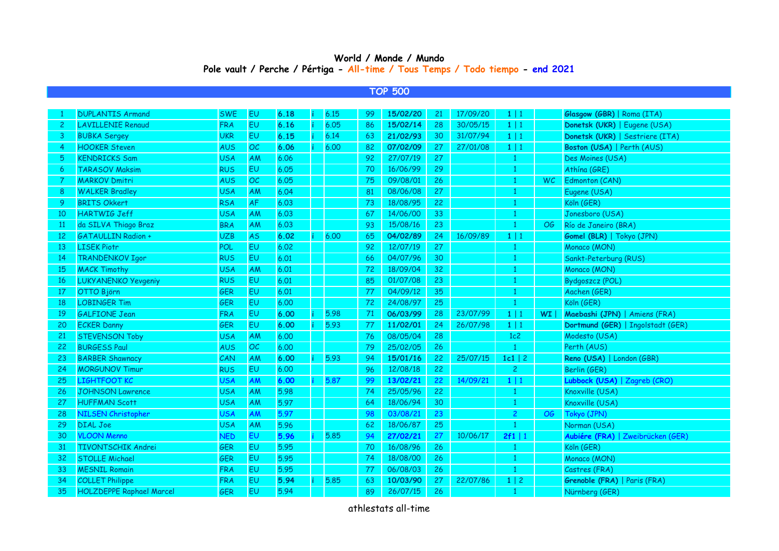## **World / Monde / Mundo Pole vault / Perche / Pértiga - All-time / Tous Temps / Todo tiempo - end 2021**

## **TOP 500**

|               | <b>DUPLANTIS Armand</b>         | <b>SWE</b> | EU        | 6.18 | 6.15 | -99 | 15/02/20 | 21 | 17/09/20 | $1 \mid 1$     |     | Glasgow (GBR)   Roma (ITA)        |
|---------------|---------------------------------|------------|-----------|------|------|-----|----------|----|----------|----------------|-----|-----------------------------------|
| 2             | <b>LAVILLENIE Renaud</b>        | <b>FRA</b> | EU        | 6.16 | 6.05 | 86  | 15/02/14 | 28 | 30/05/15 | $1 \mid 1$     |     | Donetsk (UKR)   Eugene (USA)      |
| 3             | <b>BUBKA Sergey</b>             | <b>UKR</b> | EU        | 6.15 | 6.14 | 63  | 21/02/93 | 30 | 31/07/94 | $1 \mid 1$     |     | Donetsk (UKR)   Sestriere (ITA)   |
| 4             | <b>HOOKER Steven</b>            | AUS        | OC        | 6.06 | 6.00 | 82  | 07/02/09 | 27 | 27/01/08 | $1 \mid 1$     |     | Boston (USA)   Perth (AUS)        |
| 5             | <b>KENDRICKS Sam</b>            | <b>USA</b> | AM        | 6.06 |      | 92  | 27/07/19 | 27 |          | $\mathbf{1}$   |     | Des Moines (USA)                  |
| 6             | <b>TARASOV Maksim</b>           | <b>RUS</b> | EU        | 6.05 |      | 70  | 16/06/99 | 29 |          |                |     | Athína (GRE)                      |
|               | <b>MARKOV Dmitri</b>            | <b>AUS</b> | OC        | 6.05 |      | 75  | 09/08/01 | 26 |          |                | WC. | Edmonton (CAN)                    |
| 8             | <b>WALKER Bradley</b>           | <b>USA</b> | AM        | 6.04 |      | 81  | 08/06/08 | 27 |          |                |     | Eugene (USA)                      |
| 9             | <b>BRITS Okkert</b>             | <b>RSA</b> | <b>AF</b> | 6.03 |      | 73  | 18/08/95 | 22 |          | 1              |     | Köln (GER)                        |
| 10            | <b>HARTWIG Jeff</b>             | <b>USA</b> | <b>AM</b> | 6.03 |      | 67  | 14/06/00 | 33 |          |                |     | Jonesboro (USA)                   |
| <sup>11</sup> | da SILVA Thiago Braz            | <b>BRA</b> | AM        | 6.03 |      | 93  | 15/08/16 | 23 |          | $\mathbf{1}$   | OG  | Río de Janeiro (BRA)              |
| 12            | <b>GATAULLIN Radion +</b>       | <b>UZB</b> | <b>AS</b> | 6.02 | 6.00 | 65  | 04/02/89 | 24 | 16/09/89 | $1 \mid 1$     |     | <b>Gomel (BLR)</b>   Tokyo (JPN)  |
| 13            | <b>LISEK Piotr</b>              | POL        | EU        | 6.02 |      | 92  | 12/07/19 | 27 |          | -1             |     | Monaco (MON)                      |
| 14            | <b>TRANDENKOV Igor</b>          | <b>RUS</b> | EU        | 6.01 |      | 66  | 04/07/96 | 30 |          | -1             |     | Sankt-Peterburg (RUS)             |
| 15            | <b>MACK Timothy</b>             | <b>USA</b> | AM        | 6.01 |      | 72  | 18/09/04 | 32 |          |                |     | Monaco (MON)                      |
| 16            | <b>LUKYANENKO Yevgeniy</b>      | <b>RUS</b> | <b>EU</b> | 6.01 |      | 85  | 01/07/08 | 23 |          |                |     | Bydgoszcz (POL)                   |
| 17            | OTTO Björn                      | GER        | <b>EU</b> | 6.01 |      | 77  | 04/09/12 | 35 |          | -1             |     | Aachen (GER)                      |
| 18            | <b>LOBINGER Tim</b>             | GER        | EU        | 6.00 |      | 72  | 24/08/97 | 25 |          |                |     | Köln (GER)                        |
| 19            | <b>GALFIONE Jean</b>            | <b>FRA</b> | EU        | 6.00 | 5.98 | 71  | 06/03/99 | 28 | 23/07/99 | $1 \mid 1$     | WI  | Maebashi (JPN)   Amiens (FRA)     |
| 20            | <b>ECKER Danny</b>              | GER        | EU        | 6.00 | 5.93 | 77  | 11/02/01 | 24 | 26/07/98 | $1 \mid 1$     |     | Dortmund (GER)   Ingolstadt (GER) |
| 21            | <b>STEVENSON Toby</b>           | <b>USA</b> | AM        | 6.00 |      | 76  | 08/05/04 | 28 |          | 1c2            |     | Modesto (USA)                     |
| 22            | <b>BURGESS Paul</b>             | <b>AUS</b> | OC        | 6.00 |      | 79  | 25/02/05 | 26 |          | $\mathbf{1}$   |     | Perth (AUS)                       |
| 23            | <b>BARBER Shawnacy</b>          | CAN        | AM        | 6.00 | 5.93 | 94  | 15/01/16 | 22 | 25/07/15 | $1c1$   2      |     | Reno (USA)   London (GBR)         |
| 24            | <b>MORGUNOV Timur</b>           | <b>RUS</b> | <b>EU</b> | 6.00 |      | 96  | 12/08/18 | 22 |          | $\overline{c}$ |     | Berlin (GER)                      |
| 25            | <b>LIGHTFOOT KC</b>             | <b>USA</b> | AM        | 6.00 | 5.87 | 99  | 13/02/21 | 22 | 14/09/21 | 1 1            |     | Lubbock (USA)   Zagreb (CRO)      |
| 26            | <b>JOHNSON Lawrence</b>         | <b>USA</b> | AM        | 5.98 |      | 74  | 25/05/96 | 22 |          | $\mathbf{1}$   |     | Knoxville (USA)                   |
| 27            | <b>HUFFMAN Scott</b>            | <b>USA</b> | <b>AM</b> | 5.97 |      | 64  | 18/06/94 | 30 |          | $\mathbf{1}$   |     | Knoxville (USA)                   |
| 28            | <b>NILSEN Christopher</b>       | <b>USA</b> | AM        | 5.97 |      | 98  | 03/08/21 | 23 |          | $\overline{c}$ | OG  | Tokyo (JPN)                       |
| 29            | <b>DIAL Joe</b>                 | <b>USA</b> | AM        | 5.96 |      | 62  | 18/06/87 | 25 |          | $\mathbf{1}$   |     | Norman (USA)                      |
| 30            | <b>VLOON Menno</b>              | <b>NED</b> | <b>EU</b> | 5.96 | 5.85 | 94  | 27/02/21 | 27 | 10/06/17 | 2f1   1        |     | Aubiére (FRA)   Zweibrücken (GER) |
| 31            | <b>TIVONTSCHIK Andrei</b>       | <b>GER</b> | EU        | 5.95 |      | 70  | 16/08/96 | 26 |          |                |     | Köln (GER)                        |
| 32            | <b>STOLLE Michael</b>           | <b>GER</b> | EU        | 5.95 |      | 74  | 18/08/00 | 26 |          |                |     | Monaco (MON)                      |
| 33            | <b>MESNIL Romain</b>            | <b>FRA</b> | <b>EU</b> | 5.95 |      | 77  | 06/08/03 | 26 |          |                |     | Castres (FRA)                     |
| 34            | <b>COLLET Philippe</b>          | <b>FRA</b> | EU        | 5.94 | 5.85 | 63  | 10/03/90 | 27 | 22/07/86 | $1 \mid 2$     |     | Grenoble (FRA)   Paris (FRA)      |
| 35            | <b>HOLZDEPPE Raphael Marcel</b> | GER        | EU        | 5.94 |      | 89  | 26/07/15 | 26 |          |                |     | Nürnberg (GER)                    |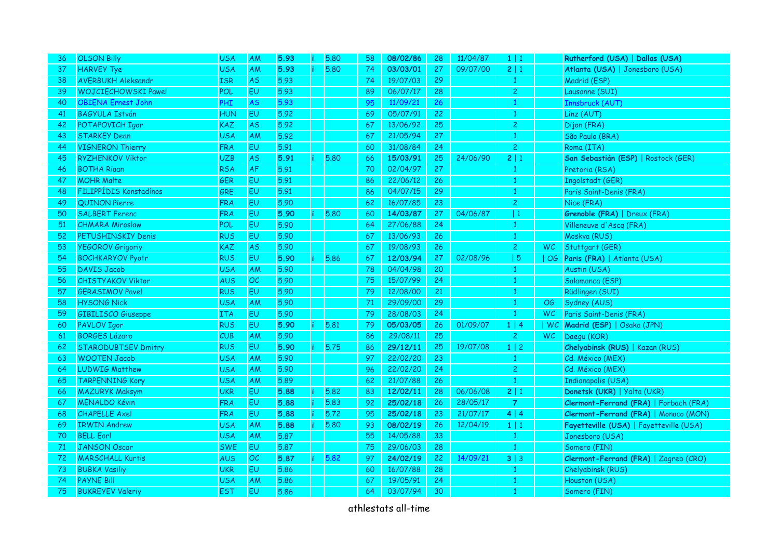| 36 | <b>OLSON Billy</b>         | <b>USA</b> | AM        | 5.93 | 5.80 | 58 | 08/02/86 | 28              | 11/04/87 | $1 \mid 1$     |           | Rutherford (USA)   Dallas (USA)         |
|----|----------------------------|------------|-----------|------|------|----|----------|-----------------|----------|----------------|-----------|-----------------------------------------|
| 37 | <b>HARVEY Tye</b>          | <b>USA</b> | AM        | 5.93 | 5.80 | 74 | 03/03/01 | 27              | 09/07/00 | 2 1            |           | Atlanta (USA)   Jonesboro (USA)         |
| 38 | <b>AVERBUKH Aleksandr</b>  | <b>ISR</b> | <b>AS</b> | 5.93 |      | 74 | 19/07/03 | 29              |          | $\mathbf{1}$   |           | Madrid (ESP)                            |
| 39 | <b>WOJCIECHOWSKI Pawel</b> | <b>POL</b> | EU        | 5.93 |      | 89 | 06/07/17 | 28              |          | $\overline{c}$ |           | Lausanne (SUI)                          |
| 40 | <b>OBIENA Ernest John</b>  | PHI        | <b>AS</b> | 5.93 |      | 95 | 11/09/21 | 26              |          |                |           | Innsbruck (AUT)                         |
| 41 | <b>BAGYULA István</b>      | <b>HUN</b> | EU        | 5.92 |      | 69 | 05/07/91 | 22              |          | 1              |           | Linz (AUT)                              |
| 42 | POTAPOVICH Igor            | KAZ        | <b>AS</b> | 5.92 |      | 67 | 13/06/92 | 25 <sub>2</sub> |          | $\overline{c}$ |           | Dijon (FRA)                             |
| 43 | <b>STARKEY Dean</b>        | <b>USA</b> | AM        | 5.92 |      | 67 | 21/05/94 | 27              |          | $\mathbf{1}$   |           | São Paulo (BRA)                         |
| 44 | <b>VIGNERON Thierry</b>    | <b>FRA</b> | EU        | 5.91 |      | 60 | 31/08/84 | 24              |          | $\overline{c}$ |           | Roma (ITA)                              |
| 45 | <b>RYZHENKOV Viktor</b>    | <b>UZB</b> | <b>AS</b> | 5.91 | 5.80 | 66 | 15/03/91 | 25              | 24/06/90 | 2 1            |           | San Sebastián (ESP)   Rostock (GER)     |
| 46 | <b>BOTHA Rigan</b>         | <b>RSA</b> | <b>AF</b> | 5.91 |      | 70 | 02/04/97 | 27              |          | $\mathbf{1}$   |           | Pretoria (RSA)                          |
| 47 | <b>MOHR Malte</b>          | GER        | <b>EU</b> | 5.91 |      | 86 | 22/06/12 | 26              |          | $\mathbf{1}$   |           | Ingolstadt (GER)                        |
| 48 | FILIPPÍDIS Konstadínos     | <b>GRE</b> | EU        | 5.91 |      | 86 | 04/07/15 | 29              |          | $\mathbf{1}$   |           | Paris Saint-Denis (FRA)                 |
| 49 | <b>QUINON Pierre</b>       | <b>FRA</b> | EU.       | 5.90 |      | 62 | 16/07/85 | 23              |          | $\overline{2}$ |           | Nice (FRA)                              |
| 50 | <b>SALBERT Ferenc</b>      | <b>FRA</b> | EU        | 5.90 | 5.80 | 60 | 14/03/87 | 27              | 04/06/87 | $\vert$ 1      |           | Grenoble (FRA)   Dreux (FRA)            |
| 51 | <b>CHMARA Miroslaw</b>     | POL        | <b>EU</b> | 5.90 |      | 64 | 27/06/88 | 24              |          | $\mathbf{1}$   |           | Villeneuve d'Ascq (FRA)                 |
| 52 | PETUSHINSKIY Denis         | <b>RUS</b> | <b>EU</b> | 5.90 |      | 67 | 13/06/93 | 26              |          | $\mathbf{1}$   |           | Moskva (RUS)                            |
| 53 | <b>YEGOROV Grigoriy</b>    | <b>KAZ</b> | <b>AS</b> | 5.90 |      | 67 | 19/08/93 | 26              |          | $\overline{2}$ | <b>WC</b> | Stuttgart (GER)                         |
| 54 | <b>BOCHKARYOV Pyotr</b>    | <b>RUS</b> | <b>EU</b> | 5.90 | 5.86 | 67 | 12/03/94 | 27 <sub>2</sub> | 02/08/96 | 5              |           | OG Paris (FRA)   Atlanta (USA)          |
| 55 | <b>DAVIS Jacob</b>         | <b>USA</b> | AM        | 5.90 |      | 78 | 04/04/98 | 20              |          | $\mathbf{1}$   |           | Austin (USA)                            |
| 56 | <b>CHISTYAKOV Viktor</b>   | <b>AUS</b> | OC        | 5.90 |      | 75 | 15/07/99 | 24              |          | $\mathbf{1}$   |           | Salamanca (ESP)                         |
| 57 | <b>GERASIMOV Pavel</b>     | <b>RUS</b> | <b>EU</b> | 5.90 |      | 79 | 12/08/00 | 21              |          | $\mathbf{1}$   |           | Rüdlingen (SUI)                         |
| 58 | <b>HYSONG Nick</b>         | <b>USA</b> | AM        | 5.90 |      | 71 | 29/09/00 | 29              |          | $\mathbf{1}$   | OG        | Sydney (AUS)                            |
| 59 | <b>GIBILISCO Giuseppe</b>  | <b>ITA</b> | <b>EU</b> | 5.90 |      | 79 | 28/08/03 | 24              |          | $\mathbf{1}$   | <b>WC</b> | Paris Saint-Denis (FRA)                 |
| 60 | <b>PAVLOV Igor</b>         | <b>RUS</b> | <b>EU</b> | 5.90 | 5.81 | 79 | 05/03/05 | 26 <sub>2</sub> | 01/09/07 | $1 \mid 4$     |           | WC Madrid (ESP)   Osaka (JPN)           |
| 61 | <b>BORGES Lázaro</b>       | CUB        | AM        | 5.90 |      | 86 | 29/08/11 | 25              |          | $\overline{c}$ | <b>WC</b> | Daegu (KOR)                             |
| 62 | <b>STARODUBTSEV Dmitry</b> | <b>RUS</b> | EU        | 5.90 | 5.75 | 86 | 29/12/11 | 25              | 19/07/08 | 1 2            |           | Chelyabinsk (RUS)   Kazan (RUS)         |
| 63 | <b>WOOTEN Jacob</b>        | <b>USA</b> | AM        | 5.90 |      | 97 | 22/02/20 | 23              |          | $\mathbf{1}$   |           | Cd. México (MEX)                        |
| 64 | <b>LUDWIG Matthew</b>      | <b>USA</b> | AM        | 5.90 |      | 96 | 22/02/20 | 24              |          | $\overline{2}$ |           | Cd. México (MEX)                        |
| 65 | <b>TARPENNING Kory</b>     | <b>USA</b> | <b>AM</b> | 5.89 |      | 62 | 21/07/88 | 26              |          | $\mathbf{1}$   |           | Indianapolis (USA)                      |
| 66 | <b>MAZURYK Maksym</b>      | <b>UKR</b> | <b>EU</b> | 5.88 | 5.82 | 83 | 12/02/11 | 28              | 06/06/08 | 2 1            |           | Donetsk (UKR)   Yalta (UKR)             |
| 67 | <b>MÉNALDO Kévin</b>       | <b>FRA</b> | <b>EU</b> | 5.88 | 5.83 | 92 | 25/02/18 | 26              | 28/05/17 | $\overline{7}$ |           | Clermont-Ferrand (FRA)   Forbach (FRA)  |
| 68 | <b>CHAPELLE Axel</b>       | <b>FRA</b> | EU        | 5.88 | 5.72 | 95 | 25/02/18 | 23              | 21/07/17 | 4   4          |           | Clermont-Ferrand (FRA)   Monaco (MON)   |
| 69 | <b>IRWIN Andrew</b>        | <b>USA</b> | AM        | 5.88 | 5.80 | 93 | 08/02/19 | 26              | 12/04/19 | $1 \mid 1$     |           | Fayetteville (USA)   Fayetteville (USA) |
| 70 | <b>BELL Earl</b>           | <b>USA</b> | AM        | 5.87 |      | 55 | 14/05/88 | 33              |          | $\mathbf{1}$   |           | Jonesboro (USA)                         |
| 71 | <b>JANSON Oscar</b>        | <b>SWE</b> | EU        | 5.87 |      | 75 | 29/06/03 | 28              |          | $\mathbf{1}$   |           | Somero (FIN)                            |
| 72 | <b>MARSCHALL Kurtis</b>    | <b>AUS</b> | OC        | 5.87 | 5.82 | 97 | 24/02/19 | 22              | 14/09/21 | 3 3            |           | Clermont-Ferrand (FRA)   Zagreb (CRO)   |
| 73 | <b>BUBKA Vasiliy</b>       | <b>UKR</b> | EU        | 5.86 |      | 60 | 16/07/88 | 28              |          | $\mathbf{1}$   |           | Chelyabinsk (RUS)                       |
| 74 | <b>PAYNE Bill</b>          | <b>USA</b> | AM        | 5.86 |      | 67 | 19/05/91 | 24              |          | $\mathbf{1}$   |           | Houston (USA)                           |
| 75 | <b>BUKREYEV Valeriy</b>    | <b>EST</b> | EU        | 5.86 |      | 64 | 03/07/94 | 30              |          | $\mathbf{1}$   |           | Somero (FIN)                            |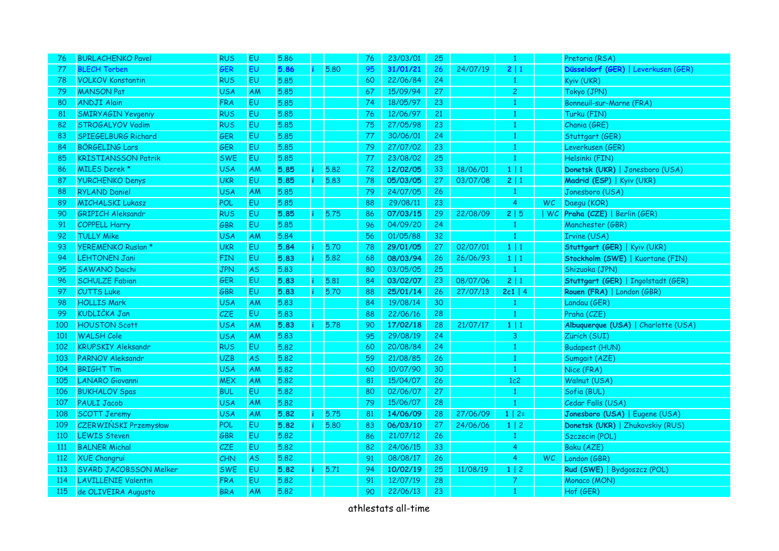| 76  | <b>BURLACHENKO Pavel</b>     | <b>RUS</b> | EU        | 5.86 |    |      | 76 | 23/03/01 | 25              |          | $\mathbf{1}$   |     | Pretoria (RSA)                      |
|-----|------------------------------|------------|-----------|------|----|------|----|----------|-----------------|----------|----------------|-----|-------------------------------------|
| 77  | <b>BLECH Torben</b>          | <b>GER</b> | <b>EU</b> | 5.86 |    | 5.80 | 95 | 31/01/21 | 26              | 24/07/19 | 2 1            |     | Düsseldorf (GER)   Leverkusen (GER) |
| 78  | <b>VOLKOV Konstantin</b>     | <b>RUS</b> | <b>EU</b> | 5.85 |    |      | 60 | 22/06/84 | 24              |          | -1             |     | Kyiv (UKR)                          |
| 79  | <b>MANSON Pat</b>            | <b>USA</b> | AM        | 5.85 |    |      | 67 | 15/09/94 | 27              |          | $\overline{c}$ |     | Tokyo (JPN)                         |
| 80  | <b>ANDJI Alain</b>           | <b>FRA</b> | <b>EU</b> | 5.85 |    |      | 74 | 18/05/97 | 23              |          |                |     | Bonneuil-sur-Marne (FRA)            |
| 81  | <b>SMIRY AGIN Yevgeniy</b>   | <b>RUS</b> | EU        | 5.85 |    |      | 76 | 12/06/97 | 21              |          | -1             |     | Turku (FIN)                         |
| 82  | STROGALYOV Vadim             | <b>RUS</b> | <b>EU</b> | 5.85 |    |      | 75 | 27/05/98 | 23              |          | -1             |     | Chania (GRE)                        |
| 83  | SPIEGELBURG Richard          | GER        | EU        | 5.85 |    |      | 77 | 30/06/01 | 24              |          |                |     | Stuttgart (GER)                     |
| 84  | <b>BÖRGELING Lars</b>        | GER        | EU        | 5.85 |    |      | 79 | 27/07/02 | 23              |          |                |     | Leverkusen (GER)                    |
| 85  | <b>KRISTIANSSON Patrik</b>   | <b>SWE</b> | EU        | 5.85 |    |      | 77 | 23/08/02 | 25              |          | $\overline{1}$ |     | Helsinki (FIN)                      |
| 86  | MILES Derek *                | <b>USA</b> | <b>AM</b> | 5.85 |    | 5.82 | 72 | 12/02/05 | 33              | 18/06/01 | 1 1            |     | Donetsk (UKR)   Jonesboro (USA)     |
| 87  | <b>YURCHENKO Denys</b>       | <b>UKR</b> | EU        | 5.85 |    | 5.83 | 78 | 05/03/05 | 27              | 03/07/08 | 2 1            |     | Madrid (ESP)   Kyiv (UKR)           |
| 88  | <b>RYLAND Daniel</b>         | <b>USA</b> | AM        | 5.85 |    |      | 79 | 24/07/05 | 26              |          | $\mathbf{1}$   |     | Jonesboro (USA)                     |
| 89  | <b>MICHALSKI Lukasz</b>      | POL        | EU.       | 5.85 |    |      | 88 | 29/08/11 | 23              |          | 4              | WC. | Daegu (KOR)                         |
| 90  | <b>GRIPICH Aleksandr</b>     | <b>RUS</b> | EU.       | 5.85 |    | 5.75 | 86 | 07/03/15 | 29              | 22/08/09 | 2 5            |     | WC Praha (CZE)   Berlin (GER)       |
| 91  | <b>COPPELL Harry</b>         | GBR        | <b>EU</b> | 5.85 |    |      | 96 | 04/09/20 | 24              |          | $\overline{1}$ |     | Manchester (GBR)                    |
| 92  | <b>TULLY Mike</b>            | <b>USA</b> | AM        | 5.84 |    |      | 56 | 01/05/88 | 32 <sub>2</sub> |          | $\mathbf{1}$   |     | Irvine (USA)                        |
| 93  | YEREMENKO Ruslan *           | <b>UKR</b> | <b>EU</b> | 5.84 |    | 5.70 | 78 | 29/01/05 | 27              | 02/07/01 | 1 1            |     | Stuttgart (GER)   Kyiv (UKR)        |
| 94  | <b>LEHTONEN Jani</b>         | FIN        | <b>EU</b> | 5.83 | Ť. | 5.82 | 68 | 08/03/94 | 26              | 26/06/93 | 1 1            |     | Stockholm (SWE)   Kuortane (FIN)    |
| 95  | <b>SAWANO Daichi</b>         | <b>JPN</b> | <b>AS</b> | 5.83 |    |      | 80 | 03/05/05 | 25              |          | $\mathbf{1}$   |     | Shizuoka (JPN)                      |
| 96  | <b>SCHULZE Fabian</b>        | GER        | EU        | 5.83 |    | 5.81 | 84 | 03/02/07 | 23              | 08/07/06 | 2 1            |     | Stuttgart (GER)   Ingolstadt (GER)  |
| 97  | <b>CUTTS Luke</b>            | GBR        | EU        | 5.83 |    | 5.70 | 88 | 25/01/14 | 26              | 27/07/13 | $2c1$   4      |     | Rouen (FRA)   London (GBR)          |
| 98  | <b>HOLLIS Mark</b>           | <b>USA</b> | AM        | 5.83 |    |      | 84 | 19/08/14 | 30              |          | $\mathbf{1}$   |     | Landau (GER)                        |
| 99  | KUDLIČKA Jan                 | CZE        | EU        | 5.83 |    |      | 88 | 22/06/16 | 28              |          | $\mathbf{1}$   |     | Praha (CZE)                         |
| 100 | <b>HOUSTON Scott</b>         | <b>USA</b> | AM        | 5.83 |    | 5.78 | 90 | 17/02/18 | 28              | 21/07/17 | $1 \mid 1$     |     | Albuquerque (USA)   Charlotte (USA) |
| 101 | <b>WALSH Cole</b>            | <b>USA</b> | AM        | 5.83 |    |      | 95 | 29/08/19 | 24              |          | 3              |     | Zürich (SUI)                        |
| 102 | <b>KRUPSKIY Aleksandr</b>    | <b>RUS</b> | <b>EU</b> | 5.82 |    |      | 60 | 20/08/84 | 24              |          | $\mathbf{1}$   |     | <b>Budapest (HUN)</b>               |
| 103 | <b>PARNOV Aleksandr</b>      | <b>UZB</b> | <b>AS</b> | 5.82 |    |      | 59 | 21/08/85 | 26              |          | -1             |     | Sumgait (AZE)                       |
| 104 | <b>BRIGHT Tim</b>            | <b>USA</b> | <b>AM</b> | 5.82 |    |      | 60 | 10/07/90 | 30              |          | $\overline{1}$ |     | Nice (FRA)                          |
| 105 | <b>LANARO Giovanni</b>       | <b>MEX</b> | AM        | 5.82 |    |      | 81 | 15/04/07 | 26              |          | 1c2            |     | Walnut (USA)                        |
| 106 | <b>BUKHALOV Spas</b>         | <b>BUL</b> | <b>EU</b> | 5.82 |    |      | 80 | 02/06/07 | 27              |          | 1              |     | Sofia (BUL)                         |
| 107 | <b>PAULI Jacob</b>           | <b>USA</b> | AM        | 5.82 |    |      | 79 | 15/06/07 | 28              |          | $\mathbf{1}$   |     | Cedar Falls (USA)                   |
| 108 | <b>SCOTT Jeremy</b>          | <b>USA</b> | AM        | 5.82 |    | 5.75 | 81 | 14/06/09 | 28              | 27/06/09 | $1 \mid 2 =$   |     | Jonesboro (USA)   Eugene (USA)      |
| 109 | <b>CZERWIŃSKI Przemysław</b> | POL        | EU        | 5.82 |    | 5.80 | 83 | 06/03/10 | 27              | 24/06/06 | $1 \mid 2$     |     | Donetsk (UKR)   Zhukovskiy (RUS)    |
| 110 | <b>LEWIS Steven</b>          | GBR        | EU        | 5.82 |    |      | 86 | 21/07/12 | 26              |          |                |     | Szczecin (POL)                      |
| 111 | <b>BALNER Michal</b>         | CZE        | <b>EU</b> | 5.82 |    |      | 82 | 24/06/15 | 33              |          | $\overline{a}$ |     | Baku (AZE)                          |
| 112 | <b>XUE Changrui</b>          | CHN        | <b>AS</b> | 5.82 |    |      | 91 | 08/08/17 | 26              |          | 4              | WC. | London (GBR)                        |
| 113 | SVÄRD JACOBSSON Melker       | <b>SWE</b> | EU        | 5.82 | ÷  | 5.71 | 94 | 10/02/19 | 25              | 11/08/19 | $1 \mid 2$     |     | Rud (SWE)   Bydgoszcz (POL)         |
| 114 | <b>LAVILLENIE Valentin</b>   | <b>FRA</b> | EU        | 5.82 |    |      | 91 | 12/07/19 | 28              |          | $\overline{7}$ |     | Monaco (MON)                        |
| 115 | de OLIVEIRA Augusto          | <b>BRA</b> | AM        | 5.82 |    |      | 90 | 22/06/13 | 23              |          | $\mathbf{1}$   |     | Hof (GER)                           |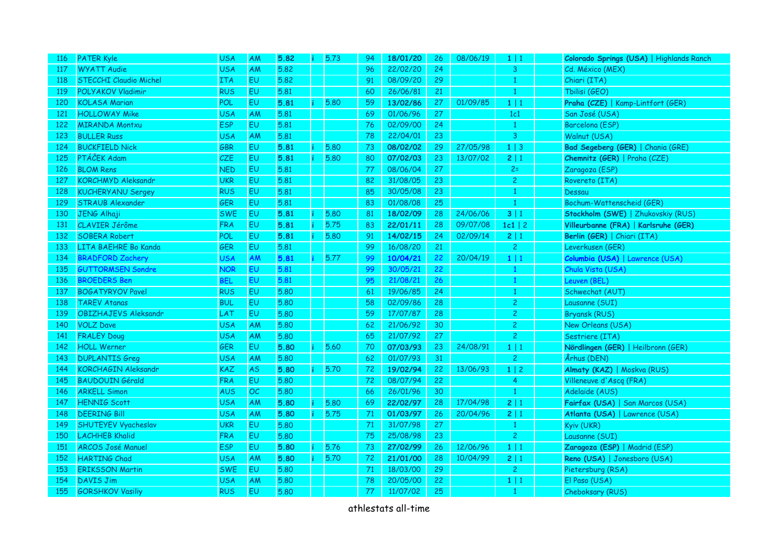| <b>116</b> | <b>PATER Kyle</b>             | <b>USA</b> | AM        | 5.82 | 5.73 | 94  | 18/01/20 | 26 | 08/06/19 | $1 \mid 1$     | Colorado Springs (USA)   Highlands Ranch |
|------------|-------------------------------|------------|-----------|------|------|-----|----------|----|----------|----------------|------------------------------------------|
| -117       | <b>WYATT Audie</b>            | <b>USA</b> | <b>AM</b> | 5.82 |      | 96  | 22/02/20 | 24 |          | 3              | Cd. México (MEX)                         |
| 118        | <b>STECCHI Claudio Michel</b> | <b>ITA</b> | <b>EU</b> | 5.82 |      | 91  | 08/09/20 | 29 |          | 1              | Chiari (ITA)                             |
| 119        | <b>POLYAKOV Vladimir</b>      | <b>RUS</b> | <b>EU</b> | 5.81 |      | 60  | 26/06/81 | 21 |          | $\mathbf{1}$   | Tbilisi (GEO)                            |
| 120        | <b>KOLASA Marian</b>          | POL        | EU        | 5.81 | 5.80 | 59  | 13/02/86 | 27 | 01/09/85 | $1 \mid 1$     | Praha (CZE)   Kamp-Lintfort (GER)        |
| 121        | <b>HOLLOWAY Mike</b>          | <b>USA</b> | AM        | 5.81 |      | 69  | 01/06/96 | 27 |          | 1c1            | San José (USA)                           |
| 122        | <b>MIRANDA Montxu</b>         | <b>ESP</b> | <b>EU</b> | 5.81 |      | 76  | 02/09/00 | 24 |          | $\mathbf{1}$   | Barcelona (ESP)                          |
| 123        | <b>BULLER Russ</b>            | <b>USA</b> | AM        | 5.81 |      | 78  | 22/04/01 | 23 |          | $\overline{3}$ | Walnut (USA)                             |
| 124        | <b>BUCKFIELD Nick</b>         | GBR        | <b>EU</b> | 5.81 | 5.80 | 73  | 08/02/02 | 29 | 27/05/98 | $1 \mid 3$     | Bad Segeberg (GER)   Chania (GRE)        |
| 125        | PTÁČEK Adam                   | CZE.       | <b>EU</b> | 5.81 | 5.80 | 80  | 07/02/03 | 23 | 13/07/02 | 2 1            | Chemnitz (GER)   Praha (CZE)             |
| 126        | <b>BLOM Rens</b>              | <b>NED</b> | <b>EU</b> | 5.81 |      | -77 | 08/06/04 | 27 |          | $2=$           | Zaragoza (ESP)                           |
| 127        | <b>KORCHMYD Aleksandr</b>     | <b>UKR</b> | <b>EU</b> | 5.81 |      | 82  | 31/08/05 | 23 |          | $\overline{c}$ | Rovereto (ITA)                           |
| 128        | <b>KUCHERYANU Sergey</b>      | <b>RUS</b> | EU        | 5.81 |      | 85  | 30/05/08 | 23 |          | 1              | Dessau                                   |
| 129        | <b>STRAUB Alexander</b>       | <b>GER</b> | EU        | 5.81 |      | 83  | 01/08/08 | 25 |          | $\mathbf{1}$   | Bochum-Wattenscheid (GER)                |
| 130        | <b>JENG Alhaji</b>            | <b>SWE</b> | <b>EU</b> | 5.81 | 5.80 | 81  | 18/02/09 | 28 | 24/06/06 | 3 1            | Stockholm (SWE)   Zhukovskiy (RUS)       |
| 131        | CLAVIER Jérôme                | <b>FRA</b> | <b>EU</b> | 5.81 | 5.75 | 83  | 22/01/11 | 28 | 09/07/08 | $1c1$   2      | Villeurbanne (FRA)   Karlsruhe (GER)     |
| 132        | <b>SOBERA Robert</b>          | POL        | <b>EU</b> | 5.81 | 5.80 | 91  | 14/02/15 | 24 | 02/09/14 | 2 1            | Berlin (GER)   Chiari (ITA)              |
| 133        | LITA BAEHRE Bo Kanda          | GER        | <b>EU</b> | 5.81 |      | 99  | 16/08/20 | 21 |          | $\overline{c}$ | Leverkusen (GER)                         |
| 134        | <b>BRADFORD Zachery</b>       | <b>USA</b> | AM        | 5.81 | 5.77 | 99  | 10/04/21 | 22 | 20/04/19 | 1 1            | Columbia (USA)   Lawrence (USA)          |
| 135        | <b>GUTTORMSEN Sondre</b>      | <b>NOR</b> | <b>EU</b> | 5.81 |      | 99  | 30/05/21 | 22 |          | 1              | Chula Vista (USA)                        |
| 136        | <b>BROEDERS Ben</b>           | <b>BEL</b> | EU        | 5.81 |      | 95  | 21/08/21 | 26 |          | $\mathbf{1}$   | Leuven (BEL)                             |
| 137        | <b>BOGATYRYOV Pavel</b>       | <b>RUS</b> | <b>EU</b> | 5.80 |      | 61  | 19/06/85 | 24 |          | 1              | Schwechat (AUT)                          |
| 138        | <b>TAREV Atanas</b>           | <b>BUL</b> | <b>EU</b> | 5.80 |      | 58  | 02/09/86 | 28 |          | $\overline{c}$ | Lausanne (SUI)                           |
| 139        | <b>OBIZHAJEVS Aleksandr</b>   | LAT        | <b>EU</b> | 5.80 |      | 59  | 17/07/87 | 28 |          | $\overline{c}$ | <b>Bryansk (RUS)</b>                     |
| 140        | <b>VOLZ Dave</b>              | <b>USA</b> | AM        | 5.80 |      | 62  | 21/06/92 | 30 |          | $\overline{c}$ | New Orleans (USA)                        |
| 141        | <b>FRALEY Doug</b>            | <b>USA</b> | <b>AM</b> | 5.80 |      | 65  | 21/07/92 | 27 |          | $\overline{c}$ | Sestriere (ITA)                          |
| 142        | <b>HOLL Werner</b>            | <b>GER</b> | <b>EU</b> | 5.80 | 5.60 | 70  | 07/03/93 | 23 | 24/08/91 | 1 1            | Nördlingen (GER)   Heilbronn (GER)       |
| 143        | <b>DUPLANTIS Greg</b>         | <b>USA</b> | AM        | 5.80 |      | 62  | 01/07/93 | 31 |          | $\overline{c}$ | Århus (DEN)                              |
| 144        | <b>KORCHAGIN Aleksandr</b>    | <b>KAZ</b> | AS.       | 5.80 | 5.70 | 72  | 19/02/94 | 22 | 13/06/93 | $1 \mid 2$     | Almaty (KAZ)   Moskva (RUS)              |
| 145        | <b>BAUDOUIN Gérald</b>        | <b>FRA</b> | <b>EU</b> | 5.80 |      | 72  | 08/07/94 | 22 |          | $\overline{4}$ | Villeneuve d'Ascq (FRA)                  |
| 146        | <b>ARKELL Simon</b>           | <b>AUS</b> | OC        | 5.80 |      | 66  | 26/01/96 | 30 |          | $\mathbf{1}$   | Adelaide (AUS)                           |
| 147        | <b>HENNIG Scott</b>           | <b>USA</b> | AM        | 5.80 | 5.80 | 69  | 22/02/97 | 28 | 17/04/98 | 2 1            | Fairfax (USA)   San Marcos (USA)         |
| 148        | <b>DEERING Bill</b>           | <b>USA</b> | <b>AM</b> | 5.80 | 5.75 | 71  | 01/03/97 | 26 | 20/04/96 | 2 1            | Atlanta (USA)   Lawrence (USA)           |
| 149        | SHUTEYEV Vyacheslav           | <b>UKR</b> | <b>EU</b> | 5.80 |      | 71  | 31/07/98 | 27 |          | $\mathbf{1}$   | Kyiv (UKR)                               |
| 150        | <b>LACHHEB Khalid</b>         | <b>FRA</b> | <b>EU</b> | 5.80 |      | 75  | 25/08/98 | 23 |          | $\overline{c}$ | Lausanne (SUI)                           |
| 151        | <b>ARCOS José Manuel</b>      | <b>ESP</b> | <b>EU</b> | 5.80 | 5.76 | 73  | 27/02/99 | 26 | 12/06/96 | 1 1            | Zaragoza (ESP)   Madrid (ESP)            |
| 152        | <b>HARTING Chad</b>           | <b>USA</b> | AM        | 5.80 | 5.70 | 72  | 21/01/00 | 28 | 10/04/99 | 2 1            | Reno (USA)   Jonesboro (USA)             |
| 153        | <b>ERIKSSON Martin</b>        | <b>SWE</b> | <b>EU</b> | 5.80 |      | 71  | 18/03/00 | 29 |          | $\mathbf{2}$   | Pietersburg (RSA)                        |
| 154        | <b>DAVIS Jim</b>              | <b>USA</b> | AM        | 5.80 |      | 78  | 20/05/00 | 22 |          | 1 1            | El Paso (USA)                            |
| 155        | <b>GORSHKOV Vasiliy</b>       | <b>RUS</b> | <b>EU</b> | 5.80 |      | 77  | 11/07/02 | 25 |          | $\overline{1}$ | Cheboksary (RUS)                         |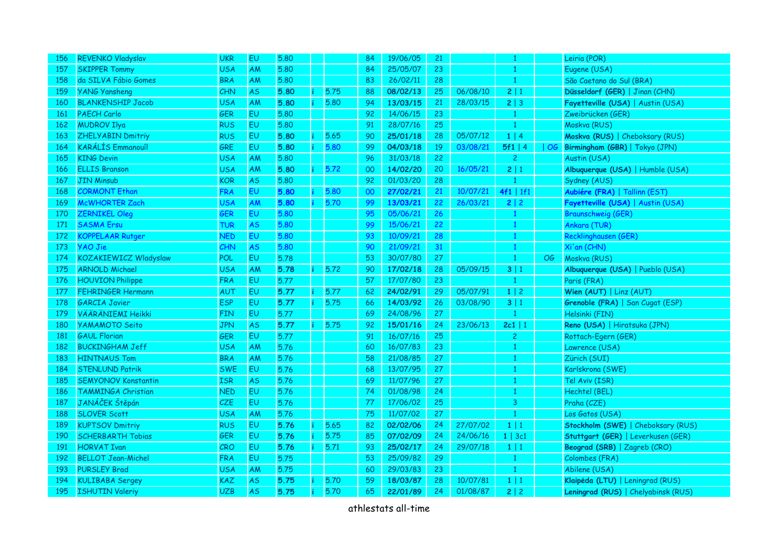| 156 | <b>REVENKO Vladyslav</b>   | <b>UKR</b> | EU        | 5.80 |      | 84 | 19/06/05 | 21 |          | $\mathbf{1}$   |    | Leiria (POR)                        |
|-----|----------------------------|------------|-----------|------|------|----|----------|----|----------|----------------|----|-------------------------------------|
| 157 | <b>SKIPPER Tommy</b>       | <b>USA</b> | AM        | 5.80 |      | 84 | 25/05/07 | 23 |          | $\mathbf{1}$   |    | Eugene (USA)                        |
| 158 | da SILVA Fábio Gomes       | <b>BRA</b> | AM        | 5.80 |      | 83 | 26/02/11 | 28 |          | $\mathbf{1}$   |    | São Caetano do Sul (BRA)            |
| 159 | <b>YANG Yansheng</b>       | <b>CHN</b> | <b>AS</b> | 5.80 | 5.75 | 88 | 08/02/13 | 25 | 06/08/10 | 2 1            |    | Düsseldorf (GER)   Jinan (CHN)      |
| 160 | <b>BLANKENSHIP Jacob</b>   | <b>USA</b> | AM        | 5.80 | 5.80 | 94 | 13/03/15 | 21 | 28/03/15 | 2   3          |    | Fayetteville (USA)   Austin (USA)   |
| 161 | <b>PAECH Carlo</b>         | <b>GER</b> | EU        | 5.80 |      | 92 | 14/06/15 | 23 |          | $\mathbf{1}$   |    | Zweibrücken (GER)                   |
| 162 | <b>MUDROV Ilya</b>         | <b>RUS</b> | EU        | 5.80 |      | 91 | 28/07/16 | 25 |          | $\mathbf{1}$   |    | Moskva (RUS)                        |
| 163 | <b>ZHELYABIN Dmitriy</b>   | <b>RUS</b> | EU        | 5.80 | 5.65 | 90 | 25/01/18 | 28 | 05/07/12 | 1   4          |    | Moskva (RUS)   Cheboksary (RUS)     |
| 164 | KARÁLÍS Emmanouíl          | GRE        | EU        | 5.80 | 5.80 | 99 | 04/03/18 | 19 | 03/08/21 | 5f1   4        |    | OG   Birmingham (GBR)   Tokyo (JPN) |
| 165 | <b>KING Devin</b>          | <b>USA</b> | AM        | 5.80 |      | 96 | 31/03/18 | 22 |          | $\overline{2}$ |    | Austin (USA)                        |
| 166 | <b>ELLIS Branson</b>       | <b>USA</b> | AM        | 5.80 | 5.72 | 00 | 14/02/20 | 20 | 16/05/21 | 2 1            |    | Albuquerque (USA)   Humble (USA)    |
| 167 | <b>JIN Minsub</b>          | <b>KOR</b> | <b>AS</b> | 5.80 |      | 92 | 01/03/20 | 28 |          |                |    | Sydney (AUS)                        |
| 168 | <b>CORMONT Ethan</b>       | <b>FRA</b> | EU        | 5.80 | 5.80 | 00 | 27/02/21 | 21 | 10/07/21 | 4f1   1f1      |    | Aubiére (FRA)   Tallinn (EST)       |
| 169 | McWHORTER Zach             | <b>USA</b> | AM        | 5.80 | 5.70 | 99 | 13/03/21 | 22 | 26/03/21 | 2 2            |    | Fayetteville (USA)   Austin (USA)   |
| 170 | <b>ZERNIKEL Oleg</b>       | <b>GER</b> | EU        | 5.80 |      | 95 | 05/06/21 | 26 |          | $\mathbf{1}$   |    | <b>Braunschweig (GER)</b>           |
| 171 | <b>SASMA Ersu</b>          | <b>TUR</b> | <b>AS</b> | 5.80 |      | 99 | 15/06/21 | 22 |          | $\mathbf{1}$   |    | Ankara (TUR)                        |
| 172 | <b>KOPPELAAR Rutger</b>    | <b>NED</b> | EU        | 5.80 |      | 93 | 10/09/21 | 28 |          | $\mathbf{1}$   |    | Recklinghausen (GER)                |
| 173 | <b>YAO Jie</b>             | CHN        | <b>AS</b> | 5.80 |      | 90 | 21/09/21 | 31 |          | $\mathbf{1}$   |    | Xi'an (CHN)                         |
| 174 | KOZAKIEWICZ Wladyslaw      | POL        | <b>EU</b> | 5.78 |      | 53 | 30/07/80 | 27 |          | $\mathbf{1}$   | OG | Moskva (RUS)                        |
| 175 | <b>ARNOLD Michael</b>      | <b>USA</b> | AM        | 5.78 | 5.72 | 90 | 17/02/18 | 28 | 05/09/15 | 3 1            |    | Albuquerque (USA)   Pueblo (USA)    |
| 176 | <b>HOUVION Philippe</b>    | <b>FRA</b> | <b>EU</b> | 5.77 |      | 57 | 17/07/80 | 23 |          | $\mathbf{1}$   |    | Paris (FRA)                         |
| 177 | <b>FEHRINGER Hermann</b>   | AUT        | EU        | 5.77 | 5.77 | 62 | 24/02/91 | 29 | 05/07/91 | $1 \mid 2$     |    | Wien (AUT)   Linz (AUT)             |
| 178 | <b>GARCIA Javier</b>       | <b>ESP</b> | EU        | 5.77 | 5.75 | 66 | 14/03/92 | 26 | 03/08/90 | 3 1            |    | Grenoble (FRA)   San Cugat (ESP)    |
| 179 | <b>VÄÄRÄNIEMI Heikki</b>   | <b>FIN</b> | <b>EU</b> | 5.77 |      | 69 | 24/08/96 | 27 |          | $\mathbf{1}$   |    | Helsinki (FIN)                      |
| 180 | <b>YAMAMOTO Seito</b>      | <b>JPN</b> | <b>AS</b> | 5.77 | 5.75 | 92 | 15/01/16 | 24 | 23/06/13 | $2c1$   1      |    | Reno (USA)   Hiratsuka (JPN)        |
| 181 | <b>GAUL Florian</b>        | <b>GER</b> | <b>EU</b> | 5.77 |      | 91 | 16/07/16 | 25 |          | $\overline{2}$ |    | Rottach-Egern (GER)                 |
| 182 | <b>BUCKINGHAM Jeff</b>     | <b>USA</b> | AM        | 5.76 |      | 60 | 16/07/83 | 23 |          | $\mathbf{1}$   |    | Lawrence (USA)                      |
| 183 | <b>HINTNAUS Tom</b>        | <b>BRA</b> | AM        | 5.76 |      | 58 | 21/08/85 | 27 |          | 1              |    | Zürich (SUI)                        |
| 184 | <b>STENLUND Patrik</b>     | <b>SWE</b> | EU        | 5.76 |      | 68 | 13/07/95 | 27 |          | $\mathbf{1}$   |    | Karlskrona (SWE)                    |
| 185 | <b>SEMYONOV Konstantin</b> | <b>ISR</b> | <b>AS</b> | 5.76 |      | 69 | 11/07/96 | 27 |          | $\mathbf{1}$   |    | Tel Aviv (ISR)                      |
| 186 | <b>TAMMINGA Christian</b>  | <b>NED</b> | EU        | 5.76 |      | 74 | 01/08/98 | 24 |          | $\mathbf{1}$   |    | Hechtel (BEL)                       |
| 187 | JANÁČEK Štěpán             | <b>CZE</b> | <b>EU</b> | 5.76 |      | 77 | 17/06/02 | 25 |          | $\overline{3}$ |    | Praha (CZE)                         |
| 188 | <b>SLOVER Scott</b>        | <b>USA</b> | AM        | 5.76 |      | 75 | 11/07/02 | 27 |          | $\mathbf{1}$   |    | Los Gatos (USA)                     |
| 189 | <b>KUPTSOV Dmitriy</b>     | <b>RUS</b> | EU        | 5.76 | 5.65 | 82 | 02/02/06 | 24 | 27/07/02 | $1 \mid 1$     |    | Stockholm (SWE)   Cheboksary (RUS)  |
| 190 | <b>SCHERBARTH Tobias</b>   | GER        | EU        | 5.76 | 5.75 | 85 | 07/02/09 | 24 | 24/06/16 | $1 \mid 3c1$   |    | Stuttgart (GER)   Leverkusen (GER)  |
| 191 | <b>HORVAT Ivan</b>         | CRO        | <b>EU</b> | 5.76 | 5.71 | 93 | 25/02/17 | 24 | 29/07/18 | $1 \mid 1$     |    | Beograd (SRB)   Zagreb (CRO)        |
| 192 | <b>BELLOT Jean-Michel</b>  | <b>FRA</b> | EU        | 5.75 |      | 53 | 25/09/82 | 29 |          | $\mathbf{1}$   |    | Colombes (FRA)                      |
| 193 | <b>PURSLEY Brad</b>        | <b>USA</b> | <b>AM</b> | 5.75 |      | 60 | 29/03/83 | 23 |          | $\mathbf{1}$   |    | Abilene (USA)                       |
| 194 | <b>KULIBABA Sergey</b>     | <b>KAZ</b> | AS.       | 5.75 | 5.70 | 59 | 18/03/87 | 28 | 10/07/81 | 1 1            |    | Klaipėda (LTU)   Leningrad (RUS)    |
| 195 | <b>ISHUTIN Valeriy</b>     | <b>UZB</b> | <b>AS</b> | 5.75 | 5.70 | 65 | 22/01/89 | 24 | 01/08/87 | 2 2            |    | Leningrad (RUS)   Chelyabinsk (RUS) |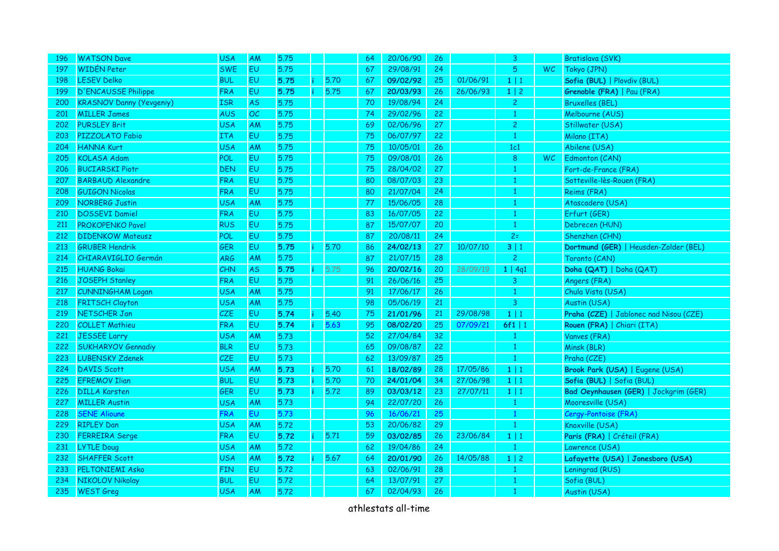| 196  | <b>WATSON Dave</b>              | <b>USA</b> | <b>AM</b> | 5.75 |    |      | 64 | 20/06/90 | 26              |          | 3              |           | Bratislava (SVK)                       |
|------|---------------------------------|------------|-----------|------|----|------|----|----------|-----------------|----------|----------------|-----------|----------------------------------------|
| -197 | <b>WIDÉN Peter</b>              | <b>SWE</b> | <b>EU</b> | 5.75 |    |      | 67 | 29/08/91 | 24              |          | 5              | <b>WC</b> | Tokyo (JPN)                            |
| 198  | <b>LESEV Delko</b>              | <b>BUL</b> | <b>EU</b> | 5.75 | ÷  | 5.70 | 67 | 09/02/92 | 25              | 01/06/91 | $1 \mid 1$     |           | Sofia (BUL)   Plovdiv (BUL)            |
| 199  | <b>D'ENCAUSSE Philippe</b>      | <b>FRA</b> | <b>EU</b> | 5.75 |    | 5.75 | 67 | 20/03/93 | 26              | 26/06/93 | $1 \mid 2$     |           | Grenoble (FRA)   Pau (FRA)             |
| 200  | <b>KRASNOV Danny (Yevgeniy)</b> | <b>ISR</b> | <b>AS</b> | 5.75 |    |      | 70 | 19/08/94 | 24              |          | $\overline{c}$ |           | <b>Bruxelles (BEL)</b>                 |
| 201  | <b>MILLER James</b>             | <b>AUS</b> | OC        | 5.75 |    |      | 74 | 29/02/96 | 22              |          | 1              |           | Melbourne (AUS)                        |
| 202  | <b>PURSLEY Brit</b>             | <b>USA</b> | AM        | 5.75 |    |      | 69 | 02/06/96 | 27              |          | $\overline{c}$ |           | Stillwater (USA)                       |
| 203  | PIZZOLATO Fabio                 | <b>ITA</b> | <b>EU</b> | 5.75 |    |      | 75 | 06/07/97 | 22              |          | $\mathbf{1}$   |           | Milano (ITA)                           |
| 204  | <b>HANNA Kurt</b>               | <b>USA</b> | AM        | 5.75 |    |      | 75 | 10/05/01 | 26              |          | 1c1            |           | Abilene (USA)                          |
| 205  | <b>KOLASA Adam</b>              | POL        | <b>EU</b> | 5.75 |    |      | 75 | 09/08/01 | 26              |          | 8              | WC.       | Edmonton (CAN)                         |
| 206  | <b>BUCIARSKI Piotr</b>          | <b>DEN</b> | EU        | 5.75 |    |      | 75 | 28/04/02 | 27              |          | -1             |           | Fort-de-France (FRA)                   |
| 207  | <b>BARBAUD Alexandre</b>        | <b>FRA</b> | <b>EU</b> | 5.75 |    |      | 80 | 08/07/03 | 23              |          | 1              |           | Sotteville-lès-Rouen (FRA)             |
| 208  | <b>GUIGON Nicolas</b>           | <b>FRA</b> | <b>EU</b> | 5.75 |    |      | 80 | 21/07/04 | 24              |          | 1              |           | Reims (FRA)                            |
| 209  | <b>NORBERG Justin</b>           | <b>USA</b> | <b>AM</b> | 5.75 |    |      | 77 | 15/06/05 | 28              |          | 1              |           | Atascadero (USA)                       |
| 210  | <b>DOSSEVI Damiel</b>           | <b>FRA</b> | <b>EU</b> | 5.75 |    |      | 83 | 16/07/05 | 22              |          | $\mathbf{1}$   |           | Erfurt (GER)                           |
| 211  | <b>PROKOPENKO Pavel</b>         | <b>RUS</b> | <b>EU</b> | 5.75 |    |      | 87 | 15/07/07 | 20              |          | $\mathbf{1}$   |           | Debrecen (HUN)                         |
| 212  | <b>DIDENKOW Mateusz</b>         | <b>POL</b> | <b>EU</b> | 5.75 |    |      | 87 | 20/08/11 | 24              |          | $2=$           |           | Shenzhen (CHN)                         |
| 213  | <b>GRUBER Hendrik</b>           | <b>GER</b> | <b>EU</b> | 5.75 |    | 5.70 | 86 | 24/02/13 | 27              | 10/07/10 | 3 1            |           | Dortmund (GER)   Heusden-Zolder (BEL)  |
| 214  | CHIARAVIGLIO Germán             | <b>ARG</b> | <b>AM</b> | 5.75 |    |      | 87 | 21/07/15 | 28              |          | $\overline{c}$ |           | Toronto (CAN)                          |
| 215  | <b>HUANG Bokai</b>              | CHN        | <b>AS</b> | 5.75 | ï. | 5.75 | 96 | 20/02/16 | 20              | 28/09/19 | 1   4q1        |           | Doha (QAT)   Doha (QAT)                |
| 216  | <b>JOSEPH Stanley</b>           | <b>FRA</b> | EU        | 5.75 |    |      | 91 | 26/06/16 | 25              |          | 3              |           | Angers (FRA)                           |
| 217  | <b>CUNNINGHAM Logan</b>         | <b>USA</b> | AM        | 5.75 |    |      | 91 | 17/06/17 | 26              |          | $\mathbf{1}$   |           | Chula Vista (USA)                      |
| 218  | <b>FRITSCH Clayton</b>          | <b>USA</b> | AM        | 5.75 |    |      | 98 | 05/06/19 | 21              |          | 3              |           | Austin (USA)                           |
| 219  | <b>NETSCHER Jan</b>             | CZE        | <b>EU</b> | 5.74 | ÷  | 5.40 | 75 | 21/01/96 | 21              | 29/08/98 | $1 \mid 1$     |           | Praha (CZE)   Jablonec nad Nisou (CZE) |
| 220  | <b>COLLET Mathieu</b>           | <b>FRA</b> | <b>EU</b> | 5.74 |    | 5.63 | 95 | 08/02/20 | 25              | 07/09/21 | 6f1   $1$      |           | Rouen (FRA)   Chiari (ITA)             |
| 221  | <b>JESSEE Larry</b>             | <b>USA</b> | <b>AM</b> | 5.73 |    |      | 52 | 27/04/84 | 32 <sub>2</sub> |          | 1              |           | Vanves (FRA)                           |
| 222  | <b>SUKHARYOV Gennadiy</b>       | <b>BLR</b> | <b>EU</b> | 5.73 |    |      | 65 | 09/08/87 | 22              |          | $\overline{1}$ |           | Minsk (BLR)                            |
| 223  | <b>LUBENSKY Zdenek</b>          | CZE        | <b>EU</b> | 5.73 |    |      | 62 | 13/09/87 | 25              |          | 1              |           | Praha (CZE)                            |
| 224  | <b>DAVIS Scott</b>              | <b>USA</b> | AM        | 5.73 |    | 5.70 | 61 | 18/02/89 | 28              | 17/05/86 | $1 \mid 1$     |           | Brook Park (USA)   Eugene (USA)        |
| 225  | <b>EFREMOV Ilian</b>            | <b>BUL</b> | <b>EU</b> | 5.73 |    | 5.70 | 70 | 24/01/04 | 34              | 27/06/98 | $1 \mid 1$     |           | Sofia (BUL)   Sofia (BUL)              |
| 226  | <b>DILLA Karsten</b>            | GER        | <b>EU</b> | 5.73 |    | 5.72 | 89 | 03/03/12 | 23              | 27/07/11 | $1 \mid 1$     |           | Bad Oeynhausen (GER)   Jockgrim (GER)  |
| 227  | <b>MILLER Austin</b>            | <b>USA</b> | <b>AM</b> | 5.73 |    |      | 94 | 22/07/20 | 26              |          | $\mathbf{1}$   |           | Mooresville (USA)                      |
| 228  | <b>SENE Alioune</b>             | <b>FRA</b> | EU        | 5.73 |    |      | 96 | 16/06/21 | 25              |          | 1              |           | Cergy-Pontoise (FRA)                   |
| 229  | <b>RIPLEY Dan</b>               | <b>USA</b> | AM        | 5.72 |    |      | 53 | 20/06/82 | 29              |          | $\mathbf{1}$   |           | Knoxville (USA)                        |
| 230  | <b>FERREIRA Serge</b>           | <b>FRA</b> | <b>EU</b> | 5.72 |    | 5.71 | 59 | 03/02/85 | 26              | 23/06/84 | $1 \mid 1$     |           | Paris (FRA)   Créteil (FRA)            |
| 231  | <b>LYTLE Doug</b>               | <b>USA</b> | AM        | 5.72 |    |      | 62 | 19/04/86 | 24              |          | 1              |           | Lawrence (USA)                         |
| 232  | <b>SHAFFER Scott</b>            | <b>USA</b> | AM        | 5.72 |    | 5.67 | 64 | 20/01/90 | 26              | 14/05/88 | $1 \mid 2$     |           | Lafayette (USA)   Jonesboro (USA)      |
| 233  | PELTONIEMI Asko                 | <b>FIN</b> | <b>EU</b> | 5.72 |    |      | 63 | 02/06/91 | 28              |          | 1              |           | Leningrad (RUS)                        |
| 234  | <b>NIKOLOV Nikolay</b>          | <b>BUL</b> | <b>EU</b> | 5.72 |    |      | 64 | 13/07/91 | 27              |          | 1              |           | Sofia (BUL)                            |
| 235  | <b>WEST</b> Greg                | <b>USA</b> | AM        | 5.72 |    |      | 67 | 02/04/93 | 26              |          | 1              |           | Austin (USA)                           |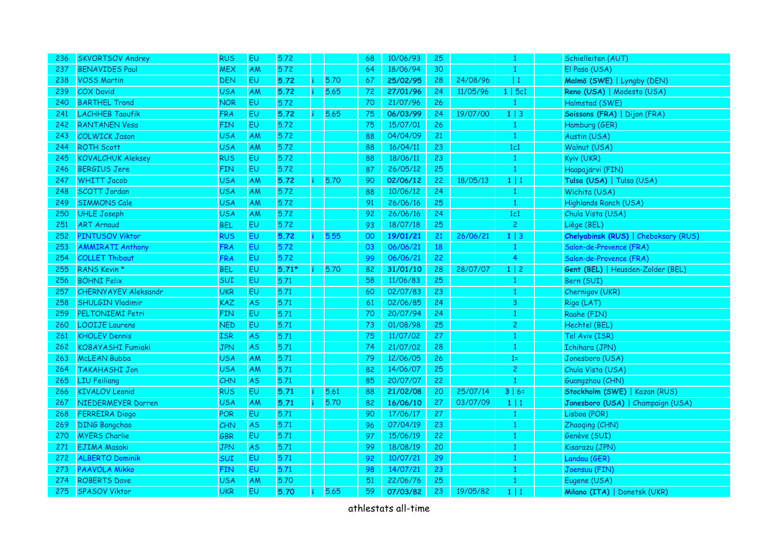| 236 | <b>SKVORTSOV Andrey</b>     | <b>RUS</b> | EU        | 5.72    |      | 68 | 10/06/93 | 25 |          | 1              | Schielleiten (AUT)                          |
|-----|-----------------------------|------------|-----------|---------|------|----|----------|----|----------|----------------|---------------------------------------------|
| 237 | <b>BENAVIDES Paul</b>       | <b>MEX</b> | <b>AM</b> | 5.72    |      | 64 | 18/06/94 | 30 |          | $\mathbf{1}$   | El Paso (USA)                               |
| 238 | <b>VOSS Martin</b>          | <b>DEN</b> | EU        | 5.72    | 5.70 | 67 | 25/02/95 | 28 | 24/08/96 | 1              | Malmö (SWE)   Lyngby (DEN)                  |
| 239 | <b>COX David</b>            | <b>USA</b> | AM        | 5.72    | 5.65 | 72 | 27/01/96 | 24 | 11/05/96 | 1   5c1        | Reno (USA)   Modesto (USA)                  |
| 240 | <b>BARTHEL Trond</b>        | <b>NOR</b> | EU        | 5.72    |      | 70 | 21/07/96 | 26 |          | 1              | Halmstad (SWE)                              |
| 241 | <b>LACHHEB Taoufik</b>      | <b>FRA</b> | EU        | 5.72    | 5.65 | 75 | 06/03/99 | 24 | 19/07/00 | $1 \mid 3$     | Soissons (FRA)   Dijon (FRA)                |
| 242 | <b>RANTANEN Vesa</b>        | <b>FIN</b> | EU        | 5.72    |      | 75 | 15/07/01 | 26 |          | 1              | Hamburg (GER)                               |
| 243 | <b>COLWICK Jason</b>        | <b>USA</b> | AM        | 5.72    |      | 88 | 04/04/09 | 21 |          | $\mathbf{1}$   | Austin (USA)                                |
| 244 | <b>ROTH Scott</b>           | <b>USA</b> | AM        | 5.72    |      | 88 | 16/04/11 | 23 |          | 1c1            | Walnut (USA)                                |
| 245 | <b>KOVALCHUK Aleksey</b>    | <b>RUS</b> | <b>EU</b> | 5.72    |      | 88 | 18/06/11 | 23 |          | $\mathbf{1}$   | Kyiv (UKR)                                  |
| 246 | <b>BERGIUS Jere</b>         | <b>FIN</b> | EU        | 5.72    |      | 87 | 26/05/12 | 25 |          | 1              | Haapajärvi (FIN)                            |
| 247 | <b>WHITT Jacob</b>          | <b>USA</b> | AM        | 5.72    | 5.70 | 90 | 02/06/12 | 22 | 18/05/13 | 1 1            | Tulsa (USA)   Tulsa (USA)                   |
| 248 | <b>SCOTT Jordan</b>         | <b>USA</b> | <b>AM</b> | 5.72    |      | 88 | 10/06/12 | 24 |          | $\mathbf{1}$   | Wichita (USA)                               |
| 249 | <b>SIMMONS Cale</b>         | <b>USA</b> | ΑM        | 5.72    |      | 91 | 26/06/16 | 25 |          | $\mathbf{1}$   | Highlands Ranch (USA)                       |
| 250 | <b>UHLE Joseph</b>          | <b>USA</b> | AM        | 5.72    |      | 92 | 26/06/16 | 24 |          | 1c1            | Chula Vista (USA)                           |
| 251 | <b>ART Arnaud</b>           | <b>BEL</b> | <b>EU</b> | 5.72    |      | 93 | 18/07/18 | 25 |          | $\overline{c}$ | Liège (BEL)                                 |
| 252 | PINTUSOV Viktor             | <b>RUS</b> | EU        | 5.72    | 5.55 | 00 | 19/01/21 | 21 | 26/06/21 | $1 \mid 3$     | <b>Chelyabinsk (RUS)   Cheboksary (RUS)</b> |
| 253 | <b>AMMIRATI Anthony</b>     | <b>FRA</b> | <b>EU</b> | 5.72    |      | 03 | 06/06/21 | 18 |          | $\mathbf{1}$   | Salon-de-Provence (FRA)                     |
| 254 | <b>COLLET Thibaut</b>       | <b>FRA</b> | <b>EU</b> | 5.72    |      | 99 | 06/06/21 | 22 |          | 4              | Salon-de-Provence (FRA)                     |
| 255 | RANS Kevin *                | <b>BEL</b> | <b>EU</b> | $5.71*$ | 5.70 | 82 | 31/01/10 | 28 | 28/07/07 | $1 \mid 2$     | Gent (BEL)   Heusden-Zolder (BEL)           |
| 256 | <b>BÖHNI Felix</b>          | SUI        | EU        | 5.71    |      | 58 | 11/06/83 | 25 |          | $\mathbf{1}$   | Bern (SUI)                                  |
| 257 | <b>CHERNYAYEV Aleksandr</b> | <b>UKR</b> | EU        | 5.71    |      | 60 | 02/07/83 | 23 |          | $\mathbf{1}$   | Chernigov (UKR)                             |
| 258 | <b>SHULGIN Vladimir</b>     | <b>KAZ</b> | <b>AS</b> | 5.71    |      | 61 | 02/06/85 | 24 |          | 3              | Riga (LAT)                                  |
| 259 | <b>PELTONIEMI Petri</b>     | <b>FIN</b> | EU        | 5.71    |      | 70 | 20/07/94 | 24 |          | $\mathbf{1}$   | Raahe (FIN)                                 |
| 260 | <b>LOOIJE Laurens</b>       | <b>NED</b> | <b>EU</b> | 5.71    |      | 73 | 01/08/98 | 25 |          | 2              | Hechtel (BEL)                               |
| 261 | <b>KHOLEV Dennis</b>        | <b>ISR</b> | <b>AS</b> | 5.71    |      | 75 | 11/07/02 | 27 |          | 1              | Tel Aviv (ISR)                              |
| 262 | <b>KOBAYASHI Fumiaki</b>    | <b>JPN</b> | <b>AS</b> | 5.71    |      | 74 | 21/07/02 | 28 |          | 1              | <b>Ichihara (JPN)</b>                       |
| 263 | <b>McLEAN Bubba</b>         | <b>USA</b> | AM        | 5.71    |      | 79 | 12/06/05 | 26 |          | $1=$           | Jonesboro (USA)                             |
| 264 | <b>TAKAHASHI Jon</b>        | <b>USA</b> | AM        | 5.71    |      | 82 | 14/06/07 | 25 |          | $\overline{c}$ | Chula Vista (USA)                           |
| 265 | <b>LIU Feiliang</b>         | CHN        | <b>AS</b> | 5.71    |      | 85 | 20/07/07 | 22 |          | 1              | Guangzhou (CHN)                             |
| 266 | <b>KIVALOV Leonid</b>       | <b>RUS</b> | EU        | 5.71    | 5.61 | 88 | 21/02/08 | 20 | 25/07/14 | $3   6=$       | Stockholm (SWE)   Kazan (RUS)               |
| 267 | NIEDERMEYER Darren          | <b>USA</b> | AM        | 5.71    | 5.70 | 82 | 16/06/10 | 27 | 03/07/09 | $1 \mid 1$     | Jonesboro (USA)   Champaign (USA)           |
| 268 | <b>FERREIRA Diogo</b>       | <b>POR</b> | <b>EU</b> | 5.71    |      | 90 | 17/06/17 | 27 |          | $\mathbf{1}$   | Lisboa (POR)                                |
| 269 | <b>DING Bangchao</b>        | CHN        | <b>AS</b> | 5.71    |      | 96 | 07/04/19 | 23 |          | 1              | Zhaoqing (CHN)                              |
| 270 | <b>MYERS Charlie</b>        | GBR        | <b>EU</b> | 5.71    |      | 97 | 15/06/19 | 22 |          | 1              | Genève (SUI)                                |
| 271 | <b>EJIMA Masaki</b>         | <b>JPN</b> | <b>AS</b> | 5.71    |      | 99 | 18/08/19 | 20 |          | 1              | Kisarazu (JPN)                              |
| 272 | <b>ALBERTO Dominik</b>      | <b>SUI</b> | <b>EU</b> | 5.71    |      | 92 | 10/07/21 | 29 |          | $\mathbf{1}$   | Landau (GER)                                |
| 273 | <b>PAAVOLA Mikko</b>        | <b>FIN</b> | EU        | 5.71    |      | 98 | 14/07/21 | 23 |          | 1              | Joensuu (FIN)                               |
| 274 | <b>ROBERTS Dave</b>         | <b>USA</b> | AM        | 5.70    |      | 51 | 22/06/76 | 25 |          | $\mathbf{1}$   | Eugene (USA)                                |
| 275 | <b>SPASOV Viktor</b>        | <b>UKR</b> | <b>EU</b> | 5.70    | 5.65 | 59 | 07/03/82 | 23 | 19/05/82 | $1 \mid 1$     | Milano (ITA)   Donetsk (UKR)                |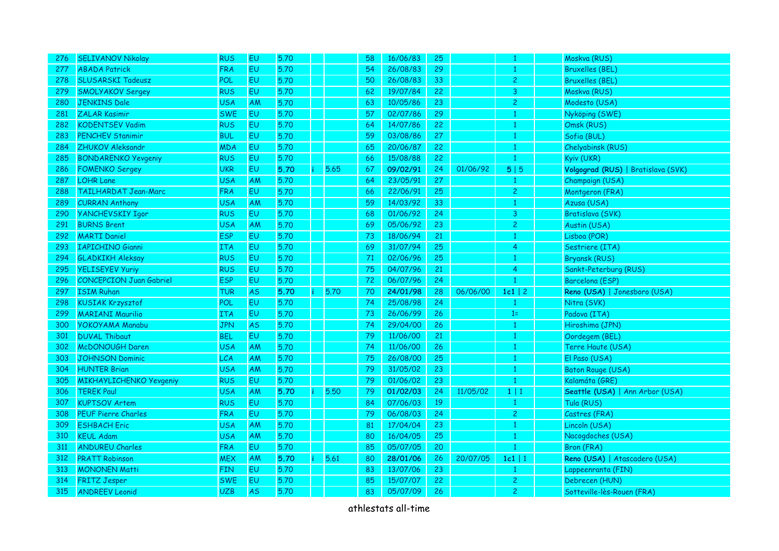| <b>SELIVANOV Nikolay</b>       | <b>RUS</b> | EU        | 5.70 |   | 58                           | 16/06/83 | 25              |          | -1                      | Moskva (RUS)                       |
|--------------------------------|------------|-----------|------|---|------------------------------|----------|-----------------|----------|-------------------------|------------------------------------|
| <b>ABADA Patrick</b>           | <b>FRA</b> | <b>EU</b> | 5.70 |   | 54                           | 26/08/83 | 29              |          | 1                       | <b>Bruxelles (BEL)</b>             |
| <b>SLUSARSKI Tadeusz</b>       | POL        | <b>EU</b> | 5.70 |   | 50                           | 26/08/83 | 33              |          | $\overline{c}$          | <b>Bruxelles (BEL)</b>             |
| <b>SMOLYAKOV Sergey</b>        | <b>RUS</b> | <b>EU</b> | 5.70 |   | 62                           | 19/07/84 | 22              |          | 3                       | Moskva (RUS)                       |
| <b>JENKINS Dale</b>            | <b>USA</b> | AM        | 5.70 |   | 63                           | 10/05/86 | 23              |          | $\overline{c}$          | Modesto (USA)                      |
| <b>ZALAR Kasimir</b>           | <b>SWE</b> | <b>EU</b> | 5.70 |   | 57                           | 02/07/86 | 29              |          | 1                       | Nyköping (SWE)                     |
| <b>KODENTSEV Vadim</b>         | <b>RUS</b> | <b>EU</b> | 5.70 |   | 64                           | 14/07/86 | 22              |          | 1                       | Omsk (RUS)                         |
| <b>PENCHEV Stanimir</b>        | <b>BUL</b> | <b>EU</b> | 5.70 |   | 59                           | 03/08/86 | 27              |          | $\mathbf{1}$            | Sofia (BUL)                        |
| ZHUKOV Aleksandr               | <b>MDA</b> | <b>EU</b> | 5.70 |   | 65                           | 20/06/87 | 22              |          | $\mathbf{1}$            | Chelyabinsk (RUS)                  |
| <b>BONDARENKO Yevgeniy</b>     | <b>RUS</b> | <b>EU</b> | 5.70 |   | 66                           | 15/08/88 | 22              |          | 1                       | Kyiv (UKR)                         |
| <b>FOMENKO Sergey</b>          | <b>UKR</b> | <b>EU</b> | 5.70 | ÷ | 67                           | 09/02/91 | 24              | 01/06/92 | 5 5                     | Volgograd (RUS)   Bratislava (SVK) |
| <b>LOHR Lane</b>               | <b>USA</b> | AM        | 5.70 |   | 64                           | 23/05/91 | 27              |          | $\mathbf{1}$            | Champaign (USA)                    |
| <b>TAILHARDAT Jean-Marc</b>    | <b>FRA</b> | EU        | 5.70 |   | 66                           | 22/06/91 | 25              |          | $\overline{\mathbf{c}}$ | Montgeron (FRA)                    |
| <b>CURRAN Anthony</b>          | <b>USA</b> | AM        | 5.70 |   | 59                           | 14/03/92 | 33              |          | 1                       | Azusa (USA)                        |
| <b>YANCHEVSKIY Igor</b>        | <b>RUS</b> | <b>EU</b> | 5.70 |   | 68                           | 01/06/92 | 24              |          | 3                       | Bratislava (SVK)                   |
| <b>BURNS Brent</b>             | <b>USA</b> | AM        | 5.70 |   | 69                           | 05/06/92 | 23              |          | $\overline{c}$          | Austin (USA)                       |
| <b>MARTI Daniel</b>            | <b>ESP</b> | <b>EU</b> | 5.70 |   | 73                           | 18/06/94 | 21              |          | $\mathbf{1}$            | Lisboa (POR)                       |
| <b>IAPICHINO Gianni</b>        | <b>ITA</b> | <b>EU</b> | 5.70 |   | 69                           | 31/07/94 | 25              |          | 4                       | Sestriere (ITA)                    |
| <b>GLADKIKH Aleksay</b>        | <b>RUS</b> | <b>EU</b> | 5.70 |   | 71                           | 02/06/96 | 25 <sub>2</sub> |          | 1                       | <b>Bryansk (RUS)</b>               |
| <b>YELISEYEV Yuriy</b>         | <b>RUS</b> | <b>EU</b> | 5.70 |   | 75                           | 04/07/96 | 21              |          | 4                       | Sankt-Peterburg (RUS)              |
| <b>CONCEPCION Juan Gabriel</b> | <b>ESP</b> | <b>EU</b> | 5.70 |   | 72                           | 06/07/96 | 24              |          | -1                      | Barcelona (ESP)                    |
| <b>ISIM Ruhan</b>              | <b>TUR</b> | <b>AS</b> | 5.70 |   | 70                           | 24/01/98 | 28              | 06/06/00 | $1c1$   2               | Reno (USA)   Jonesboro (USA)       |
| <b>KUSIAK Krzysztof</b>        | POL        | <b>EU</b> | 5.70 |   | 74                           | 25/08/98 | 24              |          | $\mathbf{1}$            | Nitra (SVK)                        |
| <b>MARIANI Maurilio</b>        | <b>ITA</b> | <b>EU</b> | 5.70 |   | 73                           | 26/06/99 | 26              |          | $1=$                    | Padova (ITA)                       |
| <b>YOKOYAMA Manabu</b>         | <b>JPN</b> | <b>AS</b> | 5.70 |   | 74                           | 29/04/00 | 26              |          | -1                      | Hiroshima (JPN)                    |
| <b>DUVAL Thibaut</b>           | <b>BEL</b> | <b>EU</b> | 5.70 |   | 79                           | 11/06/00 | 21              |          | -1                      | Oordegem (BEL)                     |
| McDONOUGH Daren                | <b>USA</b> | AM        | 5.70 |   | 74                           | 11/06/00 | 26              |          |                         | Terre Haute (USA)                  |
| <b>JOHNSON Dominic</b>         | <b>LCA</b> | AM        | 5.70 |   | 75                           | 26/08/00 | 25              |          | 1                       | El Paso (USA)                      |
| <b>HUNTER Brian</b>            | <b>USA</b> | AM        | 5.70 |   | 79                           | 31/05/02 | 23              |          | -1                      | <b>Baton Rouge (USA)</b>           |
| MIKHAYLICHENKO Yevgeniy        | <b>RUS</b> | <b>EU</b> | 5.70 |   | 79                           | 01/06/02 | 23              |          | $\overline{1}$          | Kalamáta (GRE)                     |
| <b>TEREK Paul</b>              | <b>USA</b> | AM        | 5.70 |   | 79                           | 01/02/03 | 24              | 11/05/02 | 1 1                     | Seattle (USA)   Ann Arbor (USA)    |
| <b>KUPTSOV Artem</b>           | <b>RUS</b> | <b>EU</b> | 5.70 |   | 84                           | 07/06/03 | 19              |          | $\mathbf{1}$            | Tula (RUS)                         |
| <b>PEUF Pierre Charles</b>     | <b>FRA</b> | <b>EU</b> | 5.70 |   | 79                           | 06/08/03 | 24              |          | $\overline{c}$          | Castres (FRA)                      |
| <b>ESHBACH Eric</b>            | <b>USA</b> | AM        | 5.70 |   | 81                           | 17/04/04 | 23              |          | -1                      | Lincoln (USA)                      |
| <b>KEUL Adam</b>               | <b>USA</b> | AM        | 5.70 |   | 80                           | 16/04/05 | 25              |          |                         | Nacogdoches (USA)                  |
| <b>ANDUREU Charles</b>         | <b>FRA</b> | EU        | 5.70 |   | 85                           | 05/07/05 | 20              |          |                         | Bron (FRA)                         |
| <b>PRATT Robinson</b>          | <b>MEX</b> | AM        | 5.70 |   | 80                           | 28/01/06 | 26              | 20/07/05 | $1c1$   1               | Reno (USA)   Atascadero (USA)      |
| <b>MONONEN Matti</b>           | <b>FIN</b> | <b>EU</b> | 5.70 |   | 83                           | 13/07/06 | 23              |          | -1                      | Lappeenranta (FIN)                 |
| <b>FRITZ Jesper</b>            | <b>SWE</b> | EU        | 5.70 |   | 85                           | 15/07/07 | 22              |          | $\overline{c}$          | Debrecen (HUN)                     |
| <b>ANDREEV Leonid</b>          | <b>UZB</b> | <b>AS</b> | 5.70 |   | 83                           | 05/07/09 | 26              |          | $\overline{c}$          | Sotteville-lès-Rouen (FRA)         |
|                                |            |           |      |   | 5.65<br>5.70<br>5.50<br>5.61 |          |                 |          |                         |                                    |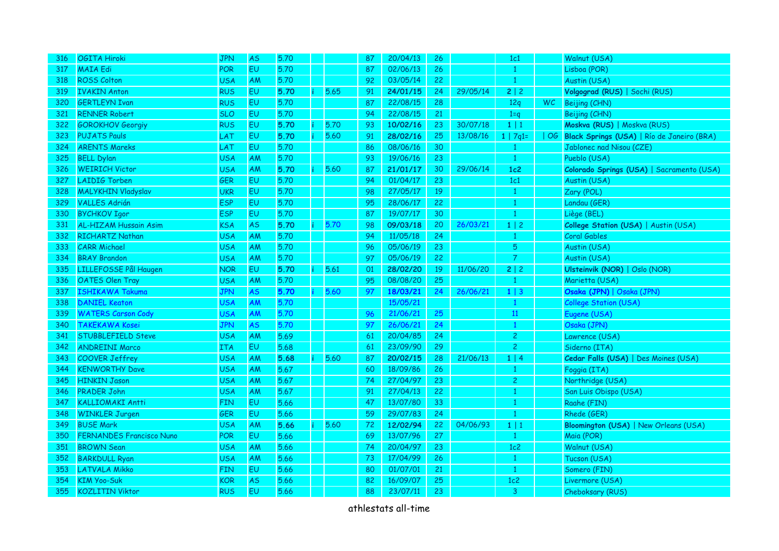| <b>OGITA Hiroki</b>             | <b>JPN</b> | <b>AS</b> | 5.70 |      | 87                                           | 20/04/13 | 26              |          | 1c1            |     | Walnut (USA)                                  |
|---------------------------------|------------|-----------|------|------|----------------------------------------------|----------|-----------------|----------|----------------|-----|-----------------------------------------------|
| <b>MAIA Edi</b>                 | POR        | EU        | 5.70 |      | 87                                           | 02/06/13 | 26              |          | $\mathbf{1}$   |     | Lisboa (POR)                                  |
| <b>ROSS Colton</b>              | <b>USA</b> | AM        | 5.70 |      | 92                                           | 03/05/14 | 22              |          | $\mathbf{1}$   |     | Austin (USA)                                  |
| <b>IVAKIN Anton</b>             | <b>RUS</b> | <b>EU</b> | 5.70 |      | 91                                           | 24/01/15 | 24              | 29/05/14 | 2 2            |     | Volgograd (RUS)   Sochi (RUS)                 |
| <b>GERTLEYN Ivan</b>            | <b>RUS</b> | EU        | 5.70 |      | 87                                           | 22/08/15 | 28              |          | 12q            | WC. | Beijing (CHN)                                 |
| <b>RENNER Robert</b>            | <b>SLO</b> | EU        | 5,70 |      | 94                                           | 22/08/15 | 21              |          | $1=q$          |     | Beijing (CHN)                                 |
| <b>GOROKHOV Georgiy</b>         | <b>RUS</b> | EU        | 5.70 | 5.70 | 93                                           | 10/02/16 | 23              | 30/07/18 | $1 \mid 1$     |     | Moskva (RUS)   Moskva (RUS)                   |
| <b>PUJATS Pauls</b>             | LAT        | EU        | 5.70 |      | 91                                           | 28/02/16 | 25              | 13/08/16 | $1   7q1=$     |     | OG Black Springs (USA)   Río de Janeiro (BRA) |
| <b>ARENTS Mareks</b>            | LAT        | EU        | 5.70 |      | 86                                           | 08/06/16 | 30              |          | $\mathbf{1}$   |     | Jablonec nad Nisou (CZE)                      |
| <b>BELL Dylan</b>               | <b>USA</b> | AM        | 5.70 |      | 93                                           | 19/06/16 | 23              |          | $\mathbf{1}$   |     | Pueblo (USA)                                  |
| <b>WEIRICH Victor</b>           | <b>USA</b> | AM        | 5.70 |      | 87                                           | 21/01/17 | 30              | 29/06/14 | 1c2            |     | Colorado Springs (USA)   Sacramento (USA)     |
| <b>LAIDIG Torben</b>            | <b>GER</b> | <b>EU</b> | 5.70 |      | 94                                           | 01/04/17 | 23              |          | 1c1            |     | Austin (USA)                                  |
| <b>MALYKHIN Vladyslav</b>       | <b>UKR</b> | EU        | 5.70 |      | 98                                           | 27/05/17 | 19              |          | $\mathbf{1}$   |     | Zary (POL)                                    |
| <b>VALLES Adrián</b>            | <b>ESP</b> | EU        | 5.70 |      | 95                                           | 28/06/17 | 22              |          | $\mathbf{1}$   |     | Landau (GER)                                  |
| <b>BYCHKOV Igor</b>             | <b>ESP</b> | EU        | 5.70 |      | 87                                           | 19/07/17 | 30              |          | $\mathbf{1}$   |     | Liège (BEL)                                   |
| <b>AL-HIZAM Hussain Asim</b>    | <b>KSA</b> | AS        | 5.70 |      | 98                                           | 09/03/18 | 20              | 26/03/21 | $1 \mid 2$     |     | College Station (USA)   Austin (USA)          |
| RICHARTZ Nathan                 | <b>USA</b> | <b>AM</b> | 5.70 |      | 94                                           | 11/05/18 | 24              |          | $\mathbf{1}$   |     | Coral Gables                                  |
| <b>CARR Michael</b>             | <b>USA</b> | AM        | 5.70 |      | 96                                           | 05/06/19 | 23              |          | 5              |     | Austin (USA)                                  |
| <b>BRAY Brandon</b>             | <b>USA</b> | AM        | 5.70 |      | 97                                           | 05/06/19 | 22              |          | 7              |     | Austin (USA)                                  |
| LILLEFOSSE Pål Haugen           | <b>NOR</b> | <b>EU</b> | 5.70 |      | 01                                           | 28/02/20 | 19              | 11/06/20 | 2 2            |     | Ulsteinvik (NOR)   Oslo (NOR)                 |
| <b>OATES Olen Tray</b>          | <b>USA</b> | AM        | 5.70 |      | 95                                           | 08/08/20 | 25              |          | 1              |     | Marietta (USA)                                |
| <b>ISHIKAWA Takuma</b>          | <b>JPN</b> | <b>AS</b> | 5.70 | 5.60 | 97                                           | 18/03/21 | 24              | 26/06/21 | $1 \mid 3$     |     | Osaka (JPN)   Osaka (JPN)                     |
| <b>DANIEL Keaton</b>            | <b>USA</b> | AM        | 5.70 |      |                                              | 15/05/21 |                 |          | $\mathbf{1}$   |     | College Station (USA)                         |
| <b>WATERS Carson Cody</b>       | <b>USA</b> | AM        | 5.70 |      | 96                                           | 21/06/21 | 25              |          | $11\,$         |     | Eugene (USA)                                  |
| <b>TAKEKAWA Kosei</b>           | <b>JPN</b> | <b>AS</b> | 5.70 |      | 97                                           | 26/06/21 | 24              |          | $\mathbf{1}$   |     | Osaka (JPN)                                   |
| <b>STUBBLEFIELD Steve</b>       | <b>USA</b> | AM        | 5.69 |      | 61                                           | 20/04/85 | 24              |          | $\overline{c}$ |     | Lawrence (USA)                                |
| <b>ANDREINI Marco</b>           | <b>ITA</b> | <b>EU</b> | 5.68 |      | 61                                           | 23/09/90 | 29              |          | $\overline{c}$ |     | Siderno (ITA)                                 |
| <b>COOVER Jeffrey</b>           | <b>USA</b> | AM        | 5.68 | 5.60 | 87                                           | 20/02/15 | 28              | 21/06/13 | 1   4          |     | Cedar Falls (USA)   Des Moines (USA)          |
| <b>KENWORTHY Dave</b>           | <b>USA</b> | AM        | 5.67 |      | 60                                           | 18/09/86 | 26              |          | 1              |     | Foggia (ITA)                                  |
| <b>HINKIN Jason</b>             | <b>USA</b> | <b>AM</b> | 5.67 |      | 74                                           | 27/04/97 | 23              |          | $\mathbf{2}$   |     | Northridge (USA)                              |
| <b>PRADER John</b>              | <b>USA</b> | AM        | 5.67 |      | 91                                           | 27/04/13 | 22              |          | $\mathbf{1}$   |     | San Luis Obispo (USA)                         |
| <b>KALLIOMAKI Antti</b>         | <b>FIN</b> | <b>EU</b> | 5.66 |      | 47                                           | 13/07/80 | 33              |          | $\mathbf{1}$   |     | Raahe (FIN)                                   |
| <b>WINKLER Jurgen</b>           | GER        | <b>EU</b> | 5.66 |      | 59                                           | 29/07/83 | 24              |          | $\mathbf{1}$   |     | Rhede (GER)                                   |
| <b>BUSE Mark</b>                | <b>USA</b> | AM        | 5.66 |      | 72                                           | 12/02/94 | 22              | 04/06/93 | 1 1            |     | Bloomington (USA)   New Orleans (USA)         |
| <b>FERNANDES Francisco Nuno</b> | POR        | <b>EU</b> | 5.66 |      | 69                                           | 13/07/96 | 27              |          | $\mathbf{1}$   |     | Maia (POR)                                    |
| <b>BROWN Sean</b>               | <b>USA</b> | AM        | 5.66 |      | 74                                           | 20/04/97 | 23              |          | 1c2            |     | Walnut (USA)                                  |
| <b>BARKDULL Ryan</b>            | <b>USA</b> | AM        | 5.66 |      | 73                                           | 17/04/99 | 26              |          | $\mathbf{1}$   |     | Tucson (USA)                                  |
| LATVALA Mikko                   | <b>FIN</b> | EU        | 5.66 |      | 80                                           | 01/07/01 | 21 <sup>2</sup> |          | $\mathbf{1}$   |     | Somero (FIN)                                  |
| <b>KIM Yoo-Suk</b>              | <b>KOR</b> | <b>AS</b> | 5.66 |      | 82                                           | 16/09/07 | 25              |          | 1c2            |     | Livermore (USA)                               |
| <b>KOZLITIN Viktor</b>          | <b>RUS</b> | EU        | 5.66 |      | 88                                           | 23/07/11 | 23              |          | 3              |     | Cheboksary (RUS)                              |
|                                 |            |           |      |      | 5.65<br>5.60<br>5.60<br>5.70<br>5.61<br>5.60 |          |                 |          |                |     |                                               |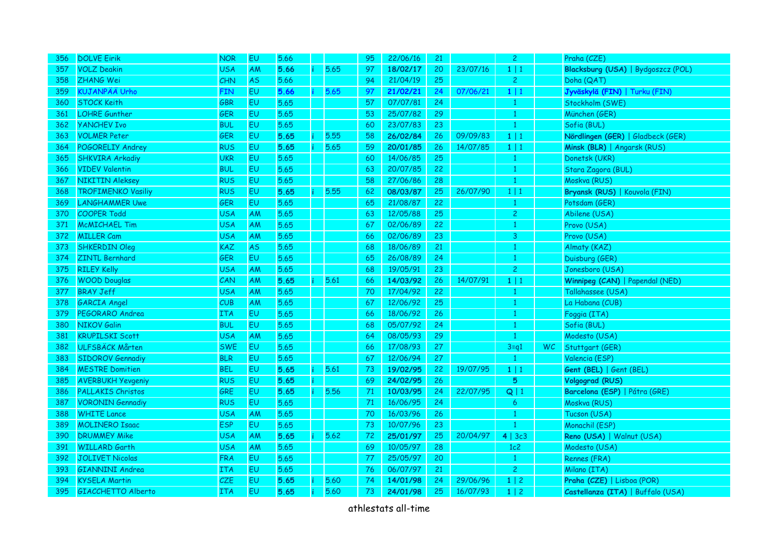| 356 | <b>DOLVE Eirik</b>        | <b>NOR</b> | EU        | 5.66 |           |      | 95 | 22/06/16 | 21 |          | $\mathbf{2}$   |    | Praha (CZE)                        |
|-----|---------------------------|------------|-----------|------|-----------|------|----|----------|----|----------|----------------|----|------------------------------------|
| 357 | <b>VOLZ Deakin</b>        | <b>USA</b> | <b>AM</b> | 5.66 |           | 5.65 | 97 | 18/02/17 | 20 | 23/07/16 | $1 \mid 1$     |    | Blacksburg (USA)   Bydgoszcz (POL) |
| 358 | <b>ZHANG Wei</b>          | <b>CHN</b> | <b>AS</b> | 5.66 |           |      | 94 | 21/04/19 | 25 |          | $\overline{c}$ |    | Doha (QAT)                         |
| 359 | <b>KUJANPÄÄ Urho</b>      | <b>FIN</b> | <b>EU</b> | 5.66 |           | 5.65 | 97 | 21/02/21 | 24 | 07/06/21 | $1 \mid 1$     |    | Jyväskylä (FIN)   Turku (FIN)      |
| 360 | <b>STOCK Keith</b>        | GBR        | <b>EU</b> | 5.65 |           |      | 57 | 07/07/81 | 24 |          | 1              |    | Stockholm (SWE)                    |
| 361 | <b>LOHRE Gunther</b>      | GER        | EU        | 5.65 |           |      | 53 | 25/07/82 | 29 |          | $\mathbf{1}$   |    | München (GER)                      |
| 362 | <b>YANCHEV Ivo</b>        | <b>BUL</b> | <b>EU</b> | 5.65 |           |      | 60 | 23/07/83 | 23 |          | $\mathbf{1}$   |    | Sofia (BUL)                        |
| 363 | <b>VOLMER Peter</b>       | GER        | <b>EU</b> | 5.65 |           | 5.55 | 58 | 26/02/84 | 26 | 09/09/83 | $1 \mid 1$     |    | Nördlingen (GER)   Gladbeck (GER)  |
| 364 | POGORELIY Andrey          | <b>RUS</b> | <b>EU</b> | 5.65 | ÷         | 5.65 | 59 | 20/01/85 | 26 | 14/07/85 | 1 1            |    | Minsk (BLR)   Angarsk (RUS)        |
| 365 | <b>SHKVIRA Arkadiy</b>    | <b>UKR</b> | <b>EU</b> | 5.65 |           |      | 60 | 14/06/85 | 25 |          | $\mathbf{1}$   |    | Donetsk (UKR)                      |
| 366 | <b>VIDEV Valentin</b>     | <b>BUL</b> | <b>EU</b> | 5.65 |           |      | 63 | 20/07/85 | 22 |          | $\mathbf{1}$   |    | Stara Zagora (BUL)                 |
| 367 | <b>NIKITIN Aleksey</b>    | <b>RUS</b> | EU        | 5.65 |           |      | 58 | 27/06/86 | 28 |          | $\mathbf{1}$   |    | Moskva (RUS)                       |
| 368 | <b>TROFIMENKO Vasiliy</b> | <b>RUS</b> | <b>EU</b> | 5.65 |           | 5.55 | 62 | 08/03/87 | 25 | 26/07/90 | $1 \mid 1$     |    | Bryansk (RUS)   Kouvola (FIN)      |
| 369 | <b>LANGHAMMER Uwe</b>     | GER        | EU        | 5.65 |           |      | 65 | 21/08/87 | 22 |          | 1              |    | Potsdam (GER)                      |
| 370 | <b>COOPER Todd</b>        | <b>USA</b> | AM        | 5.65 |           |      | 63 | 12/05/88 | 25 |          | $\overline{c}$ |    | Abilene (USA)                      |
| 371 | <b>MCMICHAEL Tim</b>      | <b>USA</b> | AM        | 5.65 |           |      | 67 | 02/06/89 | 22 |          | $\mathbf{1}$   |    | Provo (USA)                        |
| 372 | <b>MILLER Cam</b>         | <b>USA</b> | AM        | 5.65 |           |      | 66 | 02/06/89 | 23 |          | 3              |    | Provo (USA)                        |
| 373 | <b>SHKERDIN Oleg</b>      | <b>KAZ</b> | <b>AS</b> | 5.65 |           |      | 68 | 18/06/89 | 21 |          | -1             |    | Almaty (KAZ)                       |
| 374 | <b>ZINTL Bernhard</b>     | GER        | <b>EU</b> | 5.65 |           |      | 65 | 26/08/89 | 24 |          | -1             |    | Duisburg (GER)                     |
| 375 | <b>RILEY Kelly</b>        | <b>USA</b> | AM        | 5.65 |           |      | 68 | 19/05/91 | 23 |          | $\overline{c}$ |    | Jonesboro (USA)                    |
| 376 | <b>WOOD Douglas</b>       | CAN        | AM        | 5.65 |           | 5.61 | 66 | 14/03/92 | 26 | 14/07/91 | $1 \mid 1$     |    | Winnipeg (CAN)   Papendal (NED)    |
| 377 | <b>BRAY Jeff</b>          | <b>USA</b> | AM        | 5.65 |           |      | 70 | 17/04/92 | 22 |          | 1              |    | Tallahassee (USA)                  |
| 378 | <b>GARCIA Angel</b>       | CUB        | AM        | 5.65 |           |      | 67 | 12/06/92 | 25 |          | 1              |    | La Habana (CUB)                    |
| 379 | PEGORARO Andrea           | <b>ITA</b> | <b>EU</b> | 5.65 |           |      | 66 | 18/06/92 | 26 |          | 1              |    | Foggia (ITA)                       |
| 380 | <b>NIKOV Galin</b>        | <b>BUL</b> | <b>EU</b> | 5.65 |           |      | 68 | 05/07/92 | 24 |          | $\mathbf{1}$   |    | Sofia (BUL)                        |
| 381 | <b>KRUPILSKI Scott</b>    | <b>USA</b> | AM        | 5.65 |           |      | 64 | 08/05/93 | 29 |          | 1              |    | Modesto (USA)                      |
| 382 | <b>ULFSBÄCK Mårten</b>    | <b>SWE</b> | <b>EU</b> | 5.65 |           |      | 66 | 17/08/93 | 27 |          | $3 = q1$       | WC | Stuttgart (GER)                    |
| 383 | <b>SIDOROV Gennadiy</b>   | <b>BLR</b> | <b>EU</b> | 5.65 |           |      | 67 | 12/06/94 | 27 |          | 1              |    | Valencia (ESP)                     |
| 384 | <b>MESTRE Domitien</b>    | <b>BEL</b> | <b>EU</b> | 5.65 |           | 5.61 | 73 | 19/02/95 | 22 | 19/07/95 | $1 \mid 1$     |    | Gent (BEL)   Gent (BEL)            |
| 385 | <b>AVERBUKH Yevgeniy</b>  | <b>RUS</b> | EU        | 5.65 |           |      | 69 | 24/02/95 | 26 |          | 5              |    | <b>Volgograd (RUS)</b>             |
| 386 | <b>PALLAKIS Christos</b>  | GRE        | <b>EU</b> | 5.65 |           | 5.56 | 71 | 10/03/95 | 24 | 22/07/95 | $Q$   1        |    | Barcelona (ESP)   Pátra (GRE)      |
| 387 | <b>VORONIN Gennadiy</b>   | <b>RUS</b> | <b>EU</b> | 5.65 |           |      | 71 | 16/06/95 | 24 |          | 6              |    | Moskva (RUS)                       |
| 388 | <b>WHITE Lance</b>        | <b>USA</b> | <b>AM</b> | 5.65 |           |      | 70 | 16/03/96 | 26 |          | $\mathbf{1}$   |    | Tucson (USA)                       |
| 389 | <b>MOLINERO Isaac</b>     | <b>ESP</b> | <b>EU</b> | 5.65 |           |      | 73 | 10/07/96 | 23 |          | 1              |    | Monachil (ESP)                     |
| 390 | <b>DRUMMEY Mike</b>       | <b>USA</b> | <b>AM</b> | 5.65 | $\bullet$ | 5.62 | 72 | 25/01/97 | 25 | 20/04/97 | 4 3c3          |    | Reno (USA)   Walnut (USA)          |
| 391 | <b>WILLARD Garth</b>      | <b>USA</b> | AM        | 5.65 |           |      | 69 | 10/05/97 | 28 |          | 1c2            |    | Modesto (USA)                      |
| 392 | <b>JOLIVET Nicolas</b>    | <b>FRA</b> | <b>EU</b> | 5.65 |           |      | 77 | 25/05/97 | 20 |          | $\mathbf{1}$   |    | Rennes (FRA)                       |
| 393 | <b>GIANNINI Andrea</b>    | <b>ITA</b> | EU        | 5.65 |           |      | 76 | 06/07/97 | 21 |          | $\overline{c}$ |    | Milano (ITA)                       |
| 394 | <b>KYSELA Martin</b>      | <b>CZE</b> | <b>EU</b> | 5.65 |           | 5.60 | 74 | 14/01/98 | 24 | 29/06/96 | $1 \mid 2$     |    | Praha (CZE)   Lisboa (POR)         |
| 395 | <b>GIACCHETTO Alberto</b> | <b>ITA</b> | <b>EU</b> | 5.65 |           | 5.60 | 73 | 24/01/98 | 25 | 16/07/93 | $1 \mid 2$     |    | Castellanza (ITA)   Buffalo (USA)  |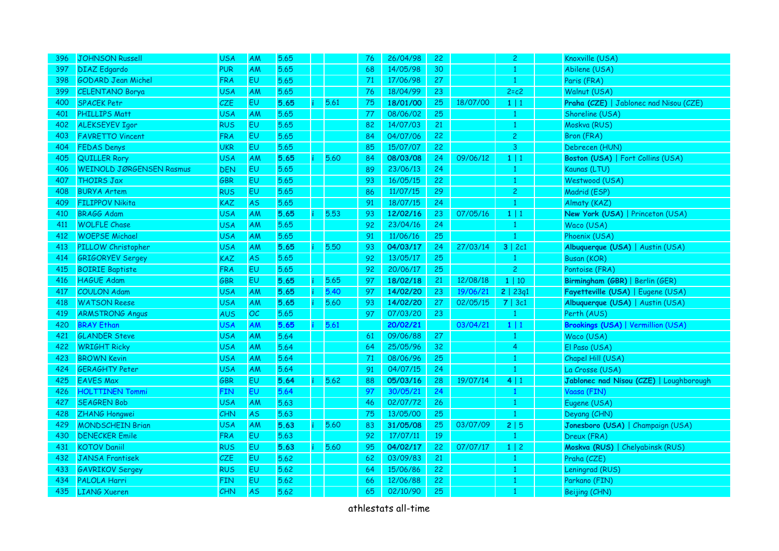| 396 | <b>JOHNSON Russell</b>          | <b>USA</b> | <b>AM</b> | 5.65 |      | 76 | 26/04/98 | 22              |          | $\mathbf{2}$   | Knoxville (USA)                           |
|-----|---------------------------------|------------|-----------|------|------|----|----------|-----------------|----------|----------------|-------------------------------------------|
| 397 | <b>DIAZ</b> Edgardo             | <b>PUR</b> | AM        | 5.65 |      | 68 | 14/05/98 | 30              |          | $\mathbf{1}$   | Abilene (USA)                             |
| 398 | <b>GODARD Jean Michel</b>       | <b>FRA</b> | <b>EU</b> | 5.65 |      | 71 | 17/06/98 | 27              |          |                | Paris (FRA)                               |
| 399 | <b>CELENTANO Borya</b>          | <b>USA</b> | AM        | 5.65 |      | 76 | 18/04/99 | 23              |          | $2 = c2$       | Walnut (USA)                              |
| 400 | <b>SPACEK Petr</b>              | CZE        | EU        | 5.65 | 5.61 | 75 | 18/01/00 | 25              | 18/07/00 | $1 \mid 1$     | Praha (CZE)   Jablonec nad Nisou (CZE)    |
| 401 | <b>PHILLIPS Matt</b>            | <b>USA</b> | AM        | 5.65 |      | 77 | 08/06/02 | 25              |          | 1              | Shoreline (USA)                           |
| 402 | <b>ALEKSEYEV Igor</b>           | <b>RUS</b> | <b>EU</b> | 5.65 |      | 82 | 14/07/03 | 21              |          | $\mathbf{1}$   | Moskva (RUS)                              |
| 403 | <b>FAVRETTO Vincent</b>         | <b>FRA</b> | <b>EU</b> | 5.65 |      | 84 | 04/07/06 | 22              |          | $\overline{2}$ | Bron (FRA)                                |
| 404 | <b>FEDAS Denys</b>              | <b>UKR</b> | <b>EU</b> | 5.65 |      | 85 | 15/07/07 | 22              |          | $\mathbf{3}$   | Debrecen (HUN)                            |
| 405 | <b>QUILLER Rory</b>             | <b>USA</b> | <b>AM</b> | 5.65 | 5.60 | 84 | 08/03/08 | 24              | 09/06/12 | $1 \mid 1$     | Boston (USA)   Fort Collins (USA)         |
| 406 | <b>WEINOLD JØRGENSEN Rasmus</b> | <b>DEN</b> | EU        | 5.65 |      | 89 | 23/06/13 | 24              |          | $\mathbf{1}$   | Kaunas (LTU)                              |
| 407 | <b>THOIRS Jax</b>               | <b>GBR</b> | <b>EU</b> | 5.65 |      | 93 | 16/05/15 | 22              |          | $\mathbf{1}$   | Westwood (USA)                            |
| 408 | <b>BURYA Artem</b>              | <b>RUS</b> | <b>EU</b> | 5.65 |      | 86 | 11/07/15 | 29              |          | $\overline{c}$ | Madrid (ESP)                              |
| 409 | <b>FILIPPOV Nikita</b>          | KAZ        | <b>AS</b> | 5.65 |      | 91 | 18/07/15 | 24              |          | $\mathbf{1}$   | Almaty (KAZ)                              |
| 410 | <b>BRAGG Adam</b>               | <b>USA</b> | AM        | 5.65 | 5.53 | 93 | 12/02/16 | 23              | 07/05/16 | $1 \mid 1$     | New York (USA)   Princeton (USA)          |
| 411 | <b>WOLFLE Chase</b>             | <b>USA</b> | AM        | 5.65 |      | 92 | 23/04/16 | 24              |          | $\mathbf{1}$   | Waco (USA)                                |
| 412 | <b>WOEPSE Michael</b>           | <b>USA</b> | AM        | 5.65 |      | 91 | 11/06/16 | 25              |          | $\mathbf{1}$   | Phoenix (USA)                             |
| 413 | PILLOW Christopher              | <b>USA</b> | AM        | 5.65 | 5.50 | 93 | 04/03/17 | 24              | 27/03/14 | 3   2c1        | Albuquerque (USA)   Austin (USA)          |
| 414 | <b>GRIGORYEV Sergey</b>         | KAZ        | <b>AS</b> | 5.65 |      | 92 | 13/05/17 | 25              |          | $\mathbf{1}$   | <b>Busan (KOR)</b>                        |
| 415 | <b>BOIRIE Baptiste</b>          | <b>FRA</b> | <b>EU</b> | 5.65 |      | 92 | 20/06/17 | 25              |          | $\overline{2}$ | Pontoise (FRA)                            |
| 416 | <b>HAGUE Adam</b>               | GBR        | <b>EU</b> | 5.65 | 5.65 | 97 | 18/02/18 | 21              | 12/08/18 | 1   10         | Birmingham (GBR)   Berlin (GER)           |
| 417 | <b>COULON Adam</b>              | <b>USA</b> | AM        | 5.65 | 5.40 | 97 | 14/02/20 | 23              | 19/06/21 | 2   23q1       | Fayetteville (USA)   Eugene (USA)         |
| 418 | <b>WATSON Reese</b>             | <b>USA</b> | AM        | 5.65 | 5.60 | 93 | 14/02/20 | 27              | 02/05/15 | 7   3c1        | Albuquerque (USA)   Austin (USA)          |
| 419 | <b>ARMSTRONG Angus</b>          | <b>AUS</b> | OC        | 5.65 |      | 97 | 07/03/20 | 23              |          | $\mathbf{1}$   | Perth (AUS)                               |
| 420 | <b>BRAY Ethan</b>               | USA        | AM        | 5.65 | 5.61 |    | 20/02/21 |                 | 03/04/21 | $1 \mid 1$     | <b>Brookings (USA)   Vermillion (USA)</b> |
| 421 | <b>GLANDER Steve</b>            | <b>USA</b> | AM        | 5.64 |      | 61 | 09/06/88 | 27              |          | 1              | Waco (USA)                                |
| 422 | <b>WRIGHT Ricky</b>             | <b>USA</b> | AM        | 5.64 |      | 64 | 25/05/96 | 32 <sub>2</sub> |          | 4              | El Paso (USA)                             |
| 423 | <b>BROWN Kevin</b>              | <b>USA</b> | AM        | 5.64 |      | 71 | 08/06/96 | 25              |          | $\mathbf{1}$   | Chapel Hill (USA)                         |
| 424 | <b>GERAGHTY Peter</b>           | USA        | AM        | 5.64 |      | 91 | 04/07/15 | 24              |          | $\mathbf{1}$   | La Crosse (USA)                           |
| 425 | <b>EAVES Max</b>                | <b>GBR</b> | <b>EU</b> | 5.64 | 5.62 | 88 | 05/03/16 | 28              | 19/07/14 | 4 1            | Jablonec nad Nisou (CZE)   Loughborough   |
| 426 | <b>HOLTTINEN Tommi</b>          | <b>FIN</b> | <b>EU</b> | 5.64 |      | 97 | 30/05/21 | 24              |          | $\mathbf{1}$   | Vaasa (FIN)                               |
| 427 | <b>SEAGREN Bob</b>              | <b>USA</b> | AM        | 5.63 |      | 46 | 02/07/72 | 26              |          | $\mathbf{1}$   | Eugene (USA)                              |
| 428 | ZHANG Hongwei                   | <b>CHN</b> | <b>AS</b> | 5.63 |      | 75 | 13/05/00 | 25              |          | $\mathbf{1}$   | Deyang (CHN)                              |
| 429 | <b>MONDSCHEIN Brian</b>         | <b>USA</b> | AM        | 5.63 | 5.60 | 83 | 31/05/08 | 25              | 03/07/09 | 2 5            | Jonesboro (USA)   Champaign (USA)         |
| 430 | <b>DENECKER Emile</b>           | <b>FRA</b> | <b>EU</b> | 5.63 |      | 92 | 17/07/11 | 19              |          | $\mathbf{1}$   | Dreux (FRA)                               |
| 431 | <b>KOTOV Daniil</b>             | <b>RUS</b> | <b>EU</b> | 5.63 | 5.60 | 95 | 04/02/17 | 22              | 07/07/17 | $1 \mid 2$     | Moskva (RUS)   Chelyabinsk (RUS)          |
| 432 | <b>JANSA Frantisek</b>          | <b>CZE</b> | <b>EU</b> | 5.62 |      | 62 | 03/09/83 | 21              |          | $\mathbf{1}$   | Praha (CZE)                               |
| 433 | <b>GAVRIKOV Sergey</b>          | <b>RUS</b> | EU        | 5.62 |      | 64 | 15/06/86 | 22              |          | $\mathbf{1}$   | Leningrad (RUS)                           |
| 434 | <b>PALOLA Harri</b>             | <b>FIN</b> | <b>EU</b> | 5.62 |      | 66 | 12/06/88 | 22              |          | $\mathbf{1}$   | Parkano (FIN)                             |
| 435 | <b>LIANG Xueren</b>             | <b>CHN</b> | <b>AS</b> | 5.62 |      | 65 | 02/10/90 | 25              |          | $\mathbf{1}$   | Beijing (CHN)                             |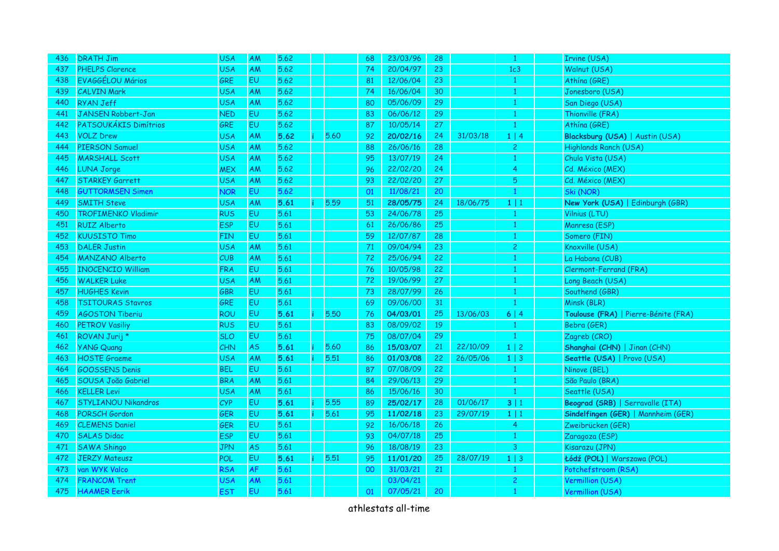| 436 | <b>DRATH Jim</b>           | <b>USA</b> | AM        | 5.62 |   |      | 68 | 23/03/96 | 28 |          | -1             | Irvine (USA)                         |
|-----|----------------------------|------------|-----------|------|---|------|----|----------|----|----------|----------------|--------------------------------------|
| 437 | <b>PHELPS Clarence</b>     | <b>USA</b> | <b>AM</b> | 5.62 |   |      | 74 | 20/04/97 | 23 |          | 1c3            | Walnut (USA)                         |
| 438 | EVAGGÉLOU Mários           | <b>GRE</b> | <b>EU</b> | 5.62 |   |      | 81 | 12/06/04 | 23 |          |                | Athína (GRE)                         |
| 439 | <b>CALVIN Mark</b>         | <b>USA</b> | AM        | 5.62 |   |      | 74 | 16/06/04 | 30 |          |                | Jonesboro (USA)                      |
| 440 | RYAN Jeff                  | <b>USA</b> | AM        | 5.62 |   |      | 80 | 05/06/09 | 29 |          |                | San Diego (USA)                      |
| 441 | <b>JANSEN Robbert-Jan</b>  | <b>NED</b> | EU        | 5.62 |   |      | 83 | 06/06/12 | 29 |          | -1             | Thionville (FRA)                     |
| 442 | PATSOUKÁKIS Dimítrios      | GRE        | <b>EU</b> | 5.62 |   |      | 87 | 10/05/14 | 27 |          | -1             | Athína (GRE)                         |
| 443 | <b>VOLZ Drew</b>           | <b>USA</b> | AM        | 5.62 |   | 5.60 | 92 | 20/02/16 | 24 | 31/03/18 | $1 \mid 4$     | Blacksburg (USA)   Austin (USA)      |
| 444 | <b>PIERSON Samuel</b>      | <b>USA</b> | AM        | 5.62 |   |      | 88 | 26/06/16 | 28 |          | $\overline{c}$ | Highlands Ranch (USA)                |
| 445 | <b>MARSHALL Scott</b>      | <b>USA</b> | AM        | 5.62 |   |      | 95 | 13/07/19 | 24 |          | -1             | Chula Vista (USA)                    |
| 446 | <b>LUNA Jorge</b>          | <b>MEX</b> | AM        | 5.62 |   |      | 96 | 22/02/20 | 24 |          | 4              | Cd. México (MEX)                     |
| 447 | <b>STARKEY Garrett</b>     | <b>USA</b> | AM        | 5.62 |   |      | 93 | 22/02/20 | 27 |          | 5              | Cd. México (MEX)                     |
| 448 | <b>GUTTORMSEN Simen</b>    | <b>NOR</b> | EU        | 5.62 |   |      | 01 | 11/08/21 | 20 |          | -1             | Ski (NOR)                            |
| 449 | <b>SMITH Steve</b>         | <b>USA</b> | AM        | 5.61 |   | 5.59 | 51 | 28/05/75 | 24 | 18/06/75 | $1 \mid 1$     | New York (USA)   Edinburgh (GBR)     |
| 450 | <b>TROFIMENKO Vladimir</b> | <b>RUS</b> | <b>EU</b> | 5.61 |   |      | 53 | 24/06/78 | 25 |          | $\mathbf{1}$   | Vilnius (LTU)                        |
| 451 | <b>RUIZ Alberto</b>        | <b>ESP</b> | EU        | 5.61 |   |      | 61 | 26/06/86 | 25 |          | $\mathbf{1}$   | Manresa (ESP)                        |
| 452 | <b>KUUSISTO Timo</b>       | <b>FIN</b> | EU        | 5.61 |   |      | 59 | 12/07/87 | 28 |          | $\mathbf{1}$   | Somero (FIN)                         |
| 453 | <b>DALER Justin</b>        | <b>USA</b> | AM        | 5.61 |   |      | 71 | 09/04/94 | 23 |          | $\overline{c}$ | Knoxville (USA)                      |
| 454 | <b>MANZANO Alberto</b>     | CUB        | AM        | 5.61 |   |      | 72 | 25/06/94 | 22 |          | -1             | La Habana (CUB)                      |
| 455 | <b>INOCENCIO William</b>   | FRA        | <b>EU</b> | 5.61 |   |      | 76 | 10/05/98 | 22 |          | 1              | Clermont-Ferrand (FRA)               |
| 456 | <b>WALKER Luke</b>         | <b>USA</b> | <b>AM</b> | 5.61 |   |      | 72 | 19/06/99 | 27 |          | -1             | Long Beach (USA)                     |
| 457 | <b>HUGHES Kevin</b>        | <b>GBR</b> | <b>EU</b> | 5.61 |   |      | 73 | 28/07/99 | 26 |          | -1             | Southend (GBR)                       |
| 458 | <b>TSITOURAS Stavros</b>   | GRE        | <b>EU</b> | 5.61 |   |      | 69 | 09/06/00 | 31 |          | 1              | Minsk (BLR)                          |
| 459 | <b>AGOSTON Tiberiu</b>     | ROU        | <b>EU</b> | 5.61 | ÷ | 5.50 | 76 | 04/03/01 | 25 | 13/06/03 | 6 4            | Toulouse (FRA)   Pierre-Bénite (FRA) |
| 460 | <b>PETROV Vasiliy</b>      | <b>RUS</b> | EU        | 5.61 |   |      | 83 | 08/09/02 | 19 |          | -1             | Bebra (GER)                          |
| 461 | ROVAN Jurij *              | <b>SLO</b> | EU        | 5.61 |   |      | 75 | 08/07/04 | 29 |          | -1             | Zagreb (CRO)                         |
| 462 | <b>YANG Quang</b>          | CHN        | <b>AS</b> | 5.61 |   | 5.60 | 86 | 15/03/07 | 21 | 22/10/09 | $1 \mid 2$     | Shanghai (CHN)   Jinan (CHN)         |
| 463 | <b>HOSTE Graeme</b>        | <b>USA</b> | AM        | 5.61 |   | 5.51 | 86 | 01/03/08 | 22 | 26/05/06 | $1 \mid 3$     | Seattle (USA)   Provo (USA)          |
| 464 | <b>GOOSSENS Denis</b>      | <b>BEL</b> | EU        | 5.61 |   |      | 87 | 07/08/09 | 22 |          | -1             | Ninove (BEL)                         |
| 465 | SOUSA João Gabriel         | <b>BRA</b> | AM        | 5.61 |   |      | 84 | 29/06/13 | 29 |          | -1             | São Paulo (BRA)                      |
| 466 | <b>KELLER Levi</b>         | <b>USA</b> | AM        | 5.61 |   |      | 86 | 15/06/16 | 30 |          | $\mathbf{1}$   | Seattle (USA)                        |
| 467 | STYLIANOU Nikandros        | CYP        | EU        | 5.61 |   | 5.55 | 89 | 25/02/17 | 28 | 01/06/17 | 3 1            | Beograd (SRB)   Serravalle (ITA)     |
| 468 | PORSCH Gordon              | <b>GER</b> | <b>EU</b> | 5.61 |   | 5.61 | 95 | 11/02/18 | 23 | 29/07/19 | $1 \mid 1$     | Sindelfingen (GER)   Mannheim (GER)  |
| 469 | <b>CLEMENS Daniel</b>      | <b>GER</b> | <b>EU</b> | 5.61 |   |      | 92 | 16/06/18 | 26 |          | $\overline{4}$ | Zweibrücken (GER)                    |
| 470 | <b>SALAS Didac</b>         | <b>ESP</b> | <b>EU</b> | 5.61 |   |      | 93 | 04/07/18 | 25 |          | 1              | Zaragoza (ESP)                       |
| 471 | <b>SAWA Shingo</b>         | <b>JPN</b> | <b>AS</b> | 5.61 |   |      | 96 | 18/08/19 | 23 |          | $\mathbf{3}$   | Kisarazu (JPN)                       |
| 472 | <b>JERZY Mateusz</b>       | POL        | EU        | 5.61 | Ť | 5.51 | 95 | 11/01/20 | 25 | 28/07/19 | $1 \mid 3$     | Łódź (POL)   Warszawa (POL)          |
| 473 | van WYK Valco              | <b>RSA</b> | AF        | 5.61 |   |      | 00 | 31/03/21 | 21 |          | $\mathbf{1}$   | Potchefstroom (RSA)                  |
| 474 | <b>FRANCOM Trent</b>       | <b>USA</b> | AM        | 5.61 |   |      |    | 03/04/21 |    |          | $\overline{2}$ | Vermillion (USA)                     |
| 475 | <b>HAAMER Eerik</b>        | <b>EST</b> | EU        | 5.61 |   |      | 01 | 07/05/21 | 20 |          | $\mathbf{1}$   | Vermillion (USA)                     |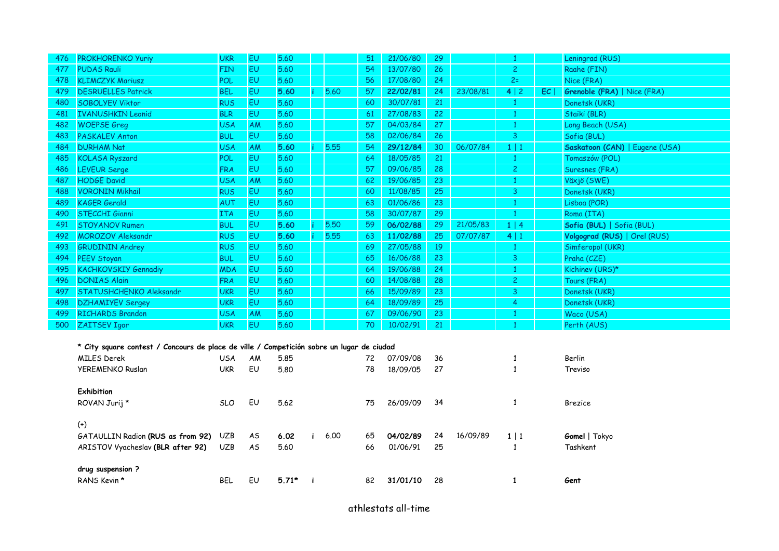| 476 | <b>PROKHORENKO Yuriy</b>                                                                  | <b>UKR</b> | EU        | 5.60    |    |      | 51 | 21/06/80 | 29 |          | $\mathbf{1}$   |    | Leningrad (RUS)                    |
|-----|-------------------------------------------------------------------------------------------|------------|-----------|---------|----|------|----|----------|----|----------|----------------|----|------------------------------------|
| 477 | <b>PUDAS Rauli</b>                                                                        | <b>FIN</b> | EU        | 5.60    |    |      | 54 | 13/07/80 | 26 |          | $\overline{c}$ |    | Raahe (FIN)                        |
| 478 | <b>KLIMCZYK Mariusz</b>                                                                   | POL        | <b>EU</b> | 5.60    |    |      | 56 | 17/08/80 | 24 |          | $2=$           |    | Nice (FRA)                         |
| 479 | <b>DESRUELLES Patrick</b>                                                                 | <b>BEL</b> | <b>EU</b> | 5.60    |    | 5.60 | 57 | 22/02/81 | 24 | 23/08/81 | 4 2            | EC | <b>Grenoble (FRA)</b>   Nice (FRA) |
| 480 | <b>SOBOLYEV Viktor</b>                                                                    | <b>RUS</b> | <b>EU</b> | 5.60    |    |      | 60 | 30/07/81 | 21 |          | $\mathbf{1}$   |    | Donetsk (UKR)                      |
| 481 | <b>IVANUSHKIN Leonid</b>                                                                  | <b>BLR</b> | <b>EU</b> | 5.60    |    |      | 61 | 27/08/83 | 22 |          | $\mathbf{1}$   |    | Staiki (BLR)                       |
| 482 | <b>WOEPSE Greg</b>                                                                        | <b>USA</b> | AM        | 5.60    |    |      | 57 | 04/03/84 | 27 |          | $\mathbf{1}$   |    | Long Beach (USA)                   |
| 483 | <b>PASKALEV Anton</b>                                                                     | <b>BUL</b> | <b>EU</b> | 5.60    |    |      | 58 | 02/06/84 | 26 |          | 3              |    | Sofia (BUL)                        |
| 484 | <b>DURHAM Nat</b>                                                                         | <b>USA</b> | AM        | 5.60    |    | 5.55 | 54 | 29/12/84 | 30 | 06/07/84 | 1 1            |    | Saskatoon (CAN)   Eugene (USA)     |
| 485 | <b>KOLASA Ryszard</b>                                                                     | POL        | <b>EU</b> | 5.60    |    |      | 64 | 18/05/85 | 21 |          | $\mathbf{1}$   |    | Tomaszów (POL)                     |
| 486 | <b>LEVEUR Serge</b>                                                                       | <b>FRA</b> | <b>EU</b> | 5.60    |    |      | 57 | 09/06/85 | 28 |          | $\overline{c}$ |    | Suresnes (FRA)                     |
| 487 | <b>HODGE David</b>                                                                        | <b>USA</b> | AM        | 5.60    |    |      | 62 | 19/06/85 | 23 |          | $\mathbf{1}$   |    | Växjö (SWE)                        |
| 488 | <b>VORONIN Mikhail</b>                                                                    | <b>RUS</b> | <b>EU</b> | 5.60    |    |      | 60 | 11/08/85 | 25 |          | 3              |    | Donetsk (UKR)                      |
| 489 | <b>KAGER Gerald</b>                                                                       | <b>AUT</b> | <b>EU</b> | 5.60    |    |      | 63 | 01/06/86 | 23 |          | 1              |    | Lisboa (POR)                       |
| 490 | <b>STECCHI Gianni</b>                                                                     | <b>ITA</b> | <b>EU</b> | 5.60    |    |      | 58 | 30/07/87 | 29 |          | $\mathbf{1}$   |    | Roma (ITA)                         |
| 491 | <b>STOYANOV Rumen</b>                                                                     | <b>BUL</b> | <b>EU</b> | 5.60    |    | 5.50 | 59 | 06/02/88 | 29 | 21/05/83 | 1   4          |    | Sofia (BUL)   Sofia (BUL)          |
| 492 | MOROZOV Aleksandr                                                                         | <b>RUS</b> | <b>EU</b> | 5.60    |    | 5.55 | 63 | 11/02/88 | 25 | 07/07/87 | 4 1            |    | Volgograd (RUS)   Orel (RUS)       |
| 493 | <b>GRUDININ Andrey</b>                                                                    | <b>RUS</b> | <b>EU</b> | 5.60    |    |      | 69 | 27/05/88 | 19 |          | $\mathbf{1}$   |    | Simferopol (UKR)                   |
| 494 | <b>PEEV Stoyan</b>                                                                        | <b>BUL</b> | <b>EU</b> | 5.60    |    |      | 65 | 16/06/88 | 23 |          | 3              |    | Praha (CZE)                        |
| 495 | <b>KACHKOVSKIY Gennadiy</b>                                                               | <b>MDA</b> | <b>EU</b> | 5.60    |    |      | 64 | 19/06/88 | 24 |          | $\mathbf{1}$   |    | Kichinev (URS)*                    |
| 496 | DONIAS Alain                                                                              | <b>FRA</b> | <b>EU</b> | 5.60    |    |      | 60 | 14/08/88 | 28 |          | $\overline{c}$ |    | Tours (FRA)                        |
| 497 | STATUSHCHENKO Aleksandr                                                                   | <b>UKR</b> | <b>EU</b> | 5.60    |    |      | 66 | 15/09/89 | 23 |          | 3              |    | Donetsk (UKR)                      |
| 498 | <b>DZHAMIYEV Sergey</b>                                                                   | <b>UKR</b> | <b>EU</b> | 5.60    |    |      | 64 | 18/09/89 | 25 |          | 4              |    | Donetsk (UKR)                      |
| 499 | <b>RICHARDS Brandon</b>                                                                   | <b>USA</b> | AM        | 5.60    |    |      | 67 | 09/06/90 | 23 |          | -1             |    | Waco (USA)                         |
| 500 | ZAITSEV Igor                                                                              | <b>UKR</b> | <b>EU</b> | 5.60    |    |      | 70 | 10/02/91 | 21 |          | $\mathbf{1}$   |    | Perth (AUS)                        |
|     |                                                                                           |            |           |         |    |      |    |          |    |          |                |    |                                    |
|     | * City square contest / Concours de place de ville / Competición sobre un lugar de ciudad |            |           |         |    |      |    |          |    |          |                |    |                                    |
|     | <b>MILES Derek</b>                                                                        | <b>USA</b> | AM        | 5.85    |    |      | 72 | 07/09/08 | 36 |          | $\mathbf{1}$   |    | Berlin                             |
|     | YEREMENKO Ruslan                                                                          | <b>UKR</b> | EU        | 5.80    |    |      | 78 | 18/09/05 | 27 |          | $\mathbf{1}$   |    | Treviso                            |
|     |                                                                                           |            |           |         |    |      |    |          |    |          |                |    |                                    |
|     | Exhibition                                                                                |            |           |         |    |      |    |          |    |          |                |    |                                    |
|     | ROVAN Jurij*                                                                              | <b>SLO</b> | EU        | 5.62    |    |      | 75 | 26/09/09 | 34 |          | $\mathbf{1}$   |    | <b>Brezice</b>                     |
|     |                                                                                           |            |           |         |    |      |    |          |    |          |                |    |                                    |
|     | $^{(+)}$                                                                                  |            |           |         |    |      |    |          |    |          |                |    |                                    |
|     | GATAULLIN Radion (RUS as from 92)                                                         | <b>UZB</b> | AS.       | 6.02    | i. | 6.00 | 65 | 04/02/89 | 24 | 16/09/89 | $1 \mid 1$     |    | Gomel   Tokyo                      |
|     | ARISTOV Vyacheslav (BLR after 92)                                                         | <b>UZB</b> | AS        | 5.60    |    |      | 66 | 01/06/91 | 25 |          | $\mathbf{1}$   |    | Tashkent                           |
|     |                                                                                           |            |           |         |    |      |    |          |    |          |                |    |                                    |
|     | drug suspension?                                                                          |            |           |         |    |      |    |          |    |          | $\mathbf{1}$   |    |                                    |
|     | RANS Kevin *                                                                              | <b>BEL</b> | EU        | $5.71*$ | -i |      | 82 | 31/01/10 | 28 |          |                |    | Gent                               |